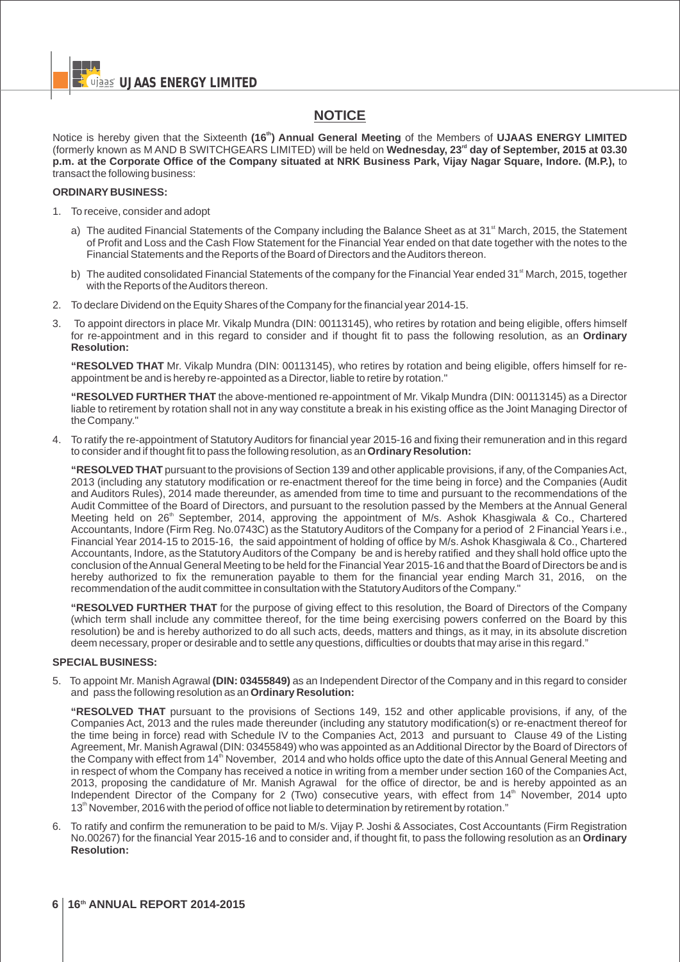# **NOTICE**

**th** Notice is hereby given that the Sixteenth **(16 ) Annual General Meeting** of the Members of **UJAAS ENERGY LIMITED rd** (formerly known as M AND B SWITCHGEARS LIMITED) will be held on **Wednesday, 23 day of September, 2015 at 03.30 p.m. at the Corporate Office of the Company situated at NRK Business Park, Vijay Nagar Square, Indore. (M.P.),** to transact the following business:

## **ORDINARY BUSINESS:**

- 1. To receive, consider and adopt
	- a) The audited Financial Statements of the Company including the Balance Sheet as at 31<sup>st</sup> March, 2015, the Statement of Profit and Loss and the Cash Flow Statement for the Financial Year ended on that date together with the notes to the Financial Statements and the Reports of the Board of Directors and the Auditors thereon.
	- b) The audited consolidated Financial Statements of the company for the Financial Year ended 31<sup><sup>st</sup> March, 2015, together</sup> with the Reports of the Auditors thereon.
- 2. To declare Dividend on the Equity Shares of the Company for the financial year 2014-15.
- 3. To appoint directors in place Mr. Vikalp Mundra (DIN: 00113145), who retires by rotation and being eligible, offers himself for re-appointment and in this regard to consider and if thought fit to pass the following resolution, as an **Ordinary Resolution:**

**"RESOLVED THAT** Mr. Vikalp Mundra (DIN: 00113145), who retires by rotation and being eligible, offers himself for reappointment be and is hereby re-appointed as a Director, liable to retire by rotation."

**"RESOLVED FURTHER THAT** the above-mentioned re-appointment of Mr. Vikalp Mundra (DIN: 00113145) as a Director liable to retirement by rotation shall not in any way constitute a break in his existing office as the Joint Managing Director of the Company."

4. To ratify the re-appointment of Statutory Auditors for financial year 2015-16 and fixing their remuneration and in this regard to consider and if thought fit to pass the following resolution, as an **Ordinary Resolution:**

**"RESOLVED THAT** pursuant to the provisions of Section 139 and other applicable provisions, if any, of the Companies Act, 2013 (including any statutory modification or re-enactment thereof for the time being in force) and the Companies (Audit and Auditors Rules), 2014 made thereunder, as amended from time to time and pursuant to the recommendations of the Audit Committee of the Board of Directors, and pursuant to the resolution passed by the Members at the Annual General Meeting held on 26<sup>th</sup> September, 2014, approving the appointment of M/s. Ashok Khasgiwala & Co., Chartered Accountants, Indore (Firm Reg. No.0743C) as the Statutory Auditors of the Company for a period of 2 Financial Years i.e., Financial Year 2014-15 to 2015-16, the said appointment of holding of office by M/s. Ashok Khasgiwala & Co., Chartered Accountants, Indore, as the Statutory Auditors of the Company be and is hereby ratified and they shall hold office upto the conclusion of the Annual General Meeting to be held for the Financial Year 2015-16 and that the Board of Directors be and is hereby authorized to fix the remuneration payable to them for the financial year ending March 31, 2016, on the recommendation of the audit committee in consultation with the Statutory Auditors of the Company."

**"RESOLVED FURTHER THAT** for the purpose of giving effect to this resolution, the Board of Directors of the Company (which term shall include any committee thereof, for the time being exercising powers conferred on the Board by this resolution) be and is hereby authorized to do all such acts, deeds, matters and things, as it may, in its absolute discretion deem necessary, proper or desirable and to settle any questions, difficulties or doubts that may arise in this regard."

#### **SPECIAL BUSINESS:**

5. To appoint Mr. Manish Agrawal **(DIN: 03455849)** as an Independent Director of the Company and in this regard to consider and pass the following resolution as an **Ordinary Resolution:**

**"RESOLVED THAT** pursuant to the provisions of Sections 149, 152 and other applicable provisions, if any, of the Companies Act, 2013 and the rules made thereunder (including any statutory modification(s) or re-enactment thereof for the time being in force) read with Schedule IV to the Companies Act, 2013 and pursuant to Clause 49 of the Listing Agreement, Mr. Manish Agrawal (DIN: 03455849) who was appointed as an Additional Director by the Board of Directors of the Company with effect from 14<sup>th</sup> November, 2014 and who holds office upto the date of this Annual General Meeting and in respect of whom the Company has received a notice in writing from a member under section 160 of the Companies Act, 2013, proposing the candidature of Mr. Manish Agrawal for the office of director, be and is hereby appointed as an Independent Director of the Company for 2 (Two) consecutive years, with effect from 14<sup>th</sup> November, 2014 upto 13<sup>th</sup> November, 2016 with the period of office not liable to determination by retirement by rotation."

6. To ratify and confirm the remuneration to be paid to M/s. Vijay P. Joshi & Associates, Cost Accountants (Firm Registration No.00267) for the financial Year 2015-16 and to consider and, if thought fit, to pass the following resolution as an **Ordinary Resolution:**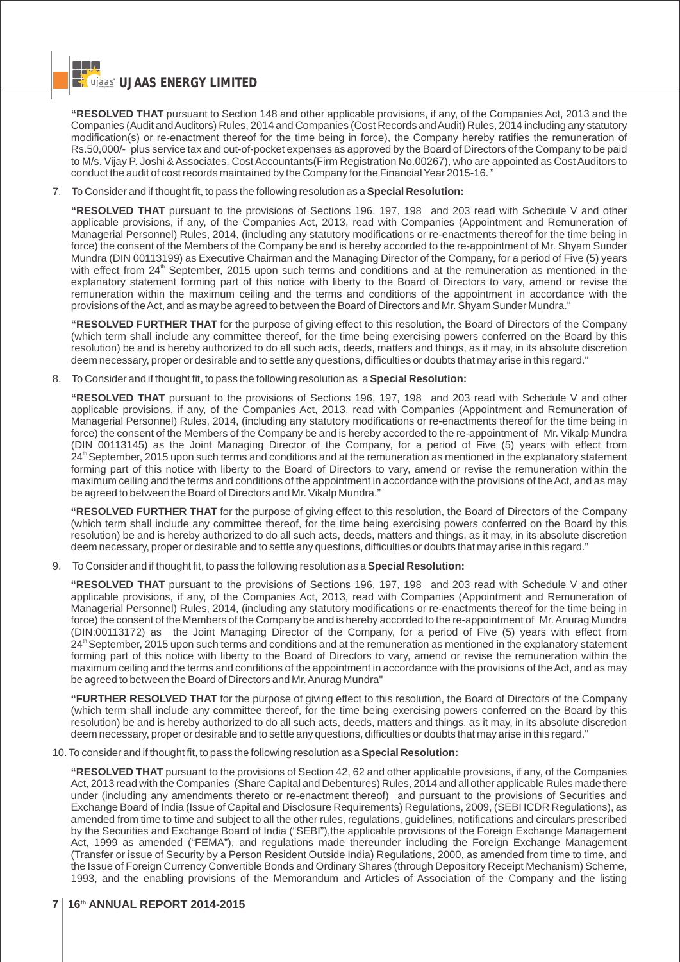**"RESOLVED THAT** pursuant to Section 148 and other applicable provisions, if any, of the Companies Act, 2013 and the Companies (Audit and Auditors) Rules, 2014 and Companies (Cost Records and Audit) Rules, 2014 including any statutory modification(s) or re-enactment thereof for the time being in force), the Company hereby ratifies the remuneration of Rs.50,000/- plus service tax and out-of-pocket expenses as approved by the Board of Directors of the Company to be paid to M/s. Vijay P. Joshi & Associates, Cost Accountants(Firm Registration No.00267), who are appointed as Cost Auditors to conduct the audit of cost records maintained by the Company for the Financial Year 2015-16. "

7. To Consider and if thought fit, to pass the following resolution as a **Special Resolution:**

**"RESOLVED THAT** pursuant to the provisions of Sections 196, 197, 198 and 203 read with Schedule V and other applicable provisions, if any, of the Companies Act, 2013, read with Companies (Appointment and Remuneration of Managerial Personnel) Rules, 2014, (including any statutory modifications or re-enactments thereof for the time being in force) the consent of the Members of the Company be and is hereby accorded to the re-appointment of Mr. Shyam Sunder Mundra (DIN 00113199) as Executive Chairman and the Managing Director of the Company, for a period of Five (5) years with effect from 24<sup>th</sup> September, 2015 upon such terms and conditions and at the remuneration as mentioned in the explanatory statement forming part of this notice with liberty to the Board of Directors to vary, amend or revise the remuneration within the maximum ceiling and the terms and conditions of the appointment in accordance with the provisions of the Act, and as may be agreed to between the Board of Directors and Mr. Shyam Sunder Mundra."

**"RESOLVED FURTHER THAT** for the purpose of giving effect to this resolution, the Board of Directors of the Company (which term shall include any committee thereof, for the time being exercising powers conferred on the Board by this resolution) be and is hereby authorized to do all such acts, deeds, matters and things, as it may, in its absolute discretion deem necessary, proper or desirable and to settle any questions, difficulties or doubts that may arise in this regard."

8. To Consider and if thought fit, to pass the following resolution as a **Special Resolution:**

**"RESOLVED THAT** pursuant to the provisions of Sections 196, 197, 198 and 203 read with Schedule V and other applicable provisions, if any, of the Companies Act, 2013, read with Companies (Appointment and Remuneration of Managerial Personnel) Rules, 2014, (including any statutory modifications or re-enactments thereof for the time being in force) the consent of the Members of the Company be and is hereby accorded to the re-appointment of Mr. Vikalp Mundra (DIN 00113145) as the Joint Managing Director of the Company, for a period of Five (5) years with effect from 24<sup>th</sup> September, 2015 upon such terms and conditions and at the remuneration as mentioned in the explanatory statement forming part of this notice with liberty to the Board of Directors to vary, amend or revise the remuneration within the maximum ceiling and the terms and conditions of the appointment in accordance with the provisions of the Act, and as may be agreed to between the Board of Directors and Mr. Vikalp Mundra."

**"RESOLVED FURTHER THAT** for the purpose of giving effect to this resolution, the Board of Directors of the Company (which term shall include any committee thereof, for the time being exercising powers conferred on the Board by this resolution) be and is hereby authorized to do all such acts, deeds, matters and things, as it may, in its absolute discretion deem necessary, proper or desirable and to settle any questions, difficulties or doubts that may arise in this regard."

9. To Consider and if thought fit, to pass the following resolution as a **Special Resolution:**

**"RESOLVED THAT** pursuant to the provisions of Sections 196, 197, 198 and 203 read with Schedule V and other applicable provisions, if any, of the Companies Act, 2013, read with Companies (Appointment and Remuneration of Managerial Personnel) Rules, 2014, (including any statutory modifications or re-enactments thereof for the time being in force) the consent of the Members of the Company be and is hereby accorded to the re-appointment of Mr. Anurag Mundra (DIN:00113172) as the Joint Managing Director of the Company, for a period of Five (5) years with effect from 24<sup>th</sup> September, 2015 upon such terms and conditions and at the remuneration as mentioned in the explanatory statement forming part of this notice with liberty to the Board of Directors to vary, amend or revise the remuneration within the maximum ceiling and the terms and conditions of the appointment in accordance with the provisions of the Act, and as may be agreed to between the Board of Directors and Mr. Anurag Mundra"

**"FURTHER RESOLVED THAT** for the purpose of giving effect to this resolution, the Board of Directors of the Company (which term shall include any committee thereof, for the time being exercising powers conferred on the Board by this resolution) be and is hereby authorized to do all such acts, deeds, matters and things, as it may, in its absolute discretion deem necessary, proper or desirable and to settle any questions, difficulties or doubts that may arise in this regard."

10. To consider and if thought fit, to pass the following resolution as a **Special Resolution:**

**"RESOLVED THAT** pursuant to the provisions of Section 42, 62 and other applicable provisions, if any, of the Companies Act, 2013 read with the Companies (Share Capital and Debentures) Rules, 2014 and all other applicable Rules made there under (including any amendments thereto or re-enactment thereof) and pursuant to the provisions of Securities and Exchange Board of India (Issue of Capital and Disclosure Requirements) Regulations, 2009, (SEBI ICDR Regulations), as amended from time to time and subject to all the other rules, regulations, guidelines, notifications and circulars prescribed by the Securities and Exchange Board of India ("SEBI"),the applicable provisions of the Foreign Exchange Management Act, 1999 as amended ("FEMA"), and regulations made thereunder including the Foreign Exchange Management (Transfer or issue of Security by a Person Resident Outside India) Regulations, 2000, as amended from time to time, and the Issue of Foreign Currency Convertible Bonds and Ordinary Shares (through Depository Receipt Mechanism) Scheme, 1993, and the enabling provisions of the Memorandum and Articles of Association of the Company and the listing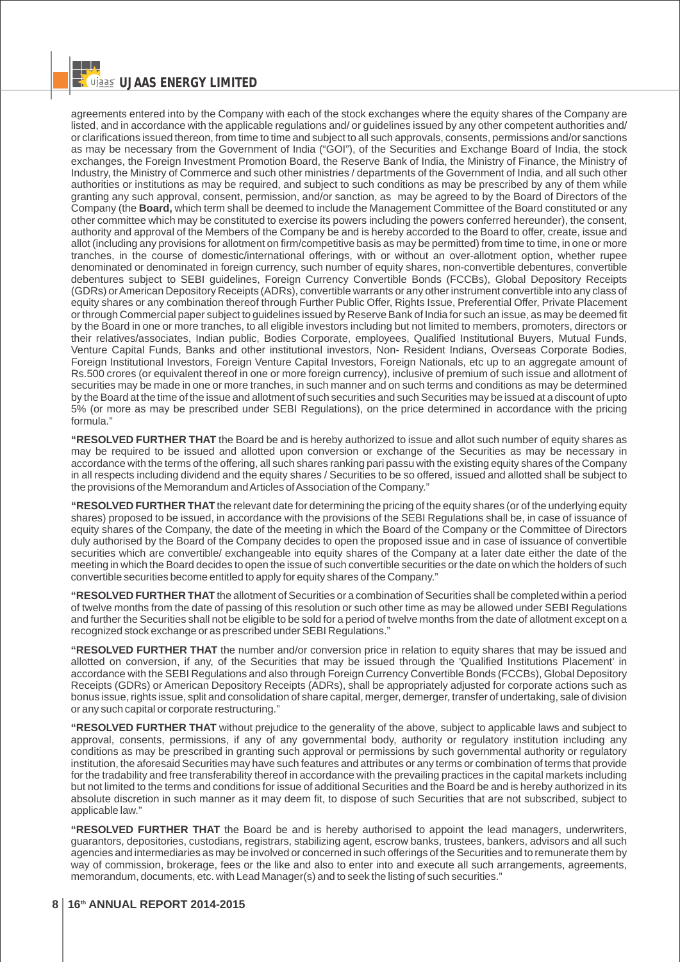agreements entered into by the Company with each of the stock exchanges where the equity shares of the Company are listed, and in accordance with the applicable regulations and/ or guidelines issued by any other competent authorities and/ or clarifications issued thereon, from time to time and subject to all such approvals, consents, permissions and/or sanctions as may be necessary from the Government of India ("GOI"), of the Securities and Exchange Board of India, the stock exchanges, the Foreign Investment Promotion Board, the Reserve Bank of India, the Ministry of Finance, the Ministry of Industry, the Ministry of Commerce and such other ministries / departments of the Government of India, and all such other authorities or institutions as may be required, and subject to such conditions as may be prescribed by any of them while granting any such approval, consent, permission, and/or sanction, as may be agreed to by the Board of Directors of the Company (the **Board,** which term shall be deemed to include the Management Committee of the Board constituted or any other committee which may be constituted to exercise its powers including the powers conferred hereunder), the consent, authority and approval of the Members of the Company be and is hereby accorded to the Board to offer, create, issue and allot (including any provisions for allotment on firm/competitive basis as may be permitted) from time to time, in one or more tranches, in the course of domestic/international offerings, with or without an over-allotment option, whether rupee denominated or denominated in foreign currency, such number of equity shares, non-convertible debentures, convertible debentures subject to SEBI guidelines, Foreign Currency Convertible Bonds (FCCBs), Global Depository Receipts (GDRs) or American Depository Receipts (ADRs), convertible warrants or any other instrument convertible into any class of equity shares or any combination thereof through Further Public Offer, Rights Issue, Preferential Offer, Private Placement or through Commercial paper subject to guidelines issued by Reserve Bank of India for such an issue, as may be deemed fit by the Board in one or more tranches, to all eligible investors including but not limited to members, promoters, directors or their relatives/associates, Indian public, Bodies Corporate, employees, Qualified Institutional Buyers, Mutual Funds, Venture Capital Funds, Banks and other institutional investors, Non- Resident Indians, Overseas Corporate Bodies, Foreign Institutional Investors, Foreign Venture Capital Investors, Foreign Nationals, etc up to an aggregate amount of Rs.500 crores (or equivalent thereof in one or more foreign currency), inclusive of premium of such issue and allotment of securities may be made in one or more tranches, in such manner and on such terms and conditions as may be determined by the Board at the time of the issue and allotment of such securities and such Securities may be issued at a discount of upto 5% (or more as may be prescribed under SEBI Regulations), on the price determined in accordance with the pricing formula."

**"RESOLVED FURTHER THAT** the Board be and is hereby authorized to issue and allot such number of equity shares as may be required to be issued and allotted upon conversion or exchange of the Securities as may be necessary in accordance with the terms of the offering, all such shares ranking pari passu with the existing equity shares of the Company in all respects including dividend and the equity shares / Securities to be so offered, issued and allotted shall be subject to the provisions of the Memorandum and Articles of Association of the Company."

**"RESOLVED FURTHER THAT** the relevant date for determining the pricing of the equity shares (or of the underlying equity shares) proposed to be issued, in accordance with the provisions of the SEBI Regulations shall be, in case of issuance of equity shares of the Company, the date of the meeting in which the Board of the Company or the Committee of Directors duly authorised by the Board of the Company decides to open the proposed issue and in case of issuance of convertible securities which are convertible/ exchangeable into equity shares of the Company at a later date either the date of the meeting in which the Board decides to open the issue of such convertible securities or the date on which the holders of such convertible securities become entitled to apply for equity shares of the Company."

**"RESOLVED FURTHER THAT** the allotment of Securities or a combination of Securities shall be completed within a period of twelve months from the date of passing of this resolution or such other time as may be allowed under SEBI Regulations and further the Securities shall not be eligible to be sold for a period of twelve months from the date of allotment except on a recognized stock exchange or as prescribed under SEBI Regulations."

**"RESOLVED FURTHER THAT** the number and/or conversion price in relation to equity shares that may be issued and allotted on conversion, if any, of the Securities that may be issued through the 'Qualified Institutions Placement' in accordance with the SEBI Regulations and also through Foreign Currency Convertible Bonds (FCCBs), Global Depository Receipts (GDRs) or American Depository Receipts (ADRs), shall be appropriately adjusted for corporate actions such as bonus issue, rights issue, split and consolidation of share capital, merger, demerger, transfer of undertaking, sale of division or any such capital or corporate restructuring."

**"RESOLVED FURTHER THAT** without prejudice to the generality of the above, subject to applicable laws and subject to approval, consents, permissions, if any of any governmental body, authority or regulatory institution including any conditions as may be prescribed in granting such approval or permissions by such governmental authority or regulatory institution, the aforesaid Securities may have such features and attributes or any terms or combination of terms that provide for the tradability and free transferability thereof in accordance with the prevailing practices in the capital markets including but not limited to the terms and conditions for issue of additional Securities and the Board be and is hereby authorized in its absolute discretion in such manner as it may deem fit, to dispose of such Securities that are not subscribed, subject to applicable law."

**"RESOLVED FURTHER THAT** the Board be and is hereby authorised to appoint the lead managers, underwriters, guarantors, depositories, custodians, registrars, stabilizing agent, escrow banks, trustees, bankers, advisors and all such agencies and intermediaries as may be involved or concerned in such offerings of the Securities and to remunerate them by way of commission, brokerage, fees or the like and also to enter into and execute all such arrangements, agreements, memorandum, documents, etc. with Lead Manager(s) and to seek the listing of such securities."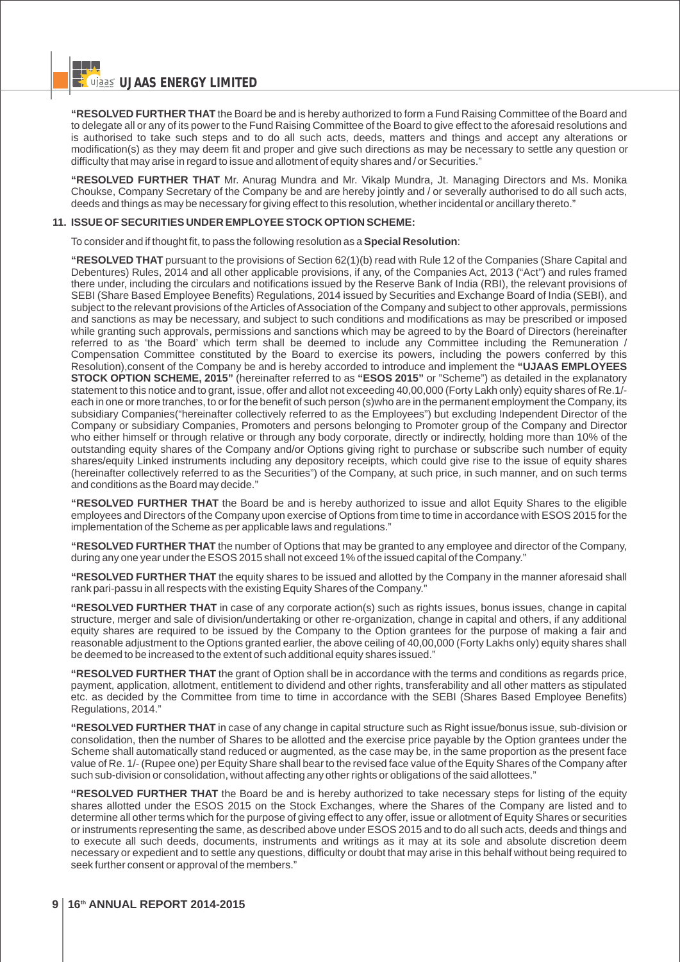**"RESOLVED FURTHER THAT** the Board be and is hereby authorized to form a Fund Raising Committee of the Board and to delegate all or any of its power to the Fund Raising Committee of the Board to give effect to the aforesaid resolutions and is authorised to take such steps and to do all such acts, deeds, matters and things and accept any alterations or modification(s) as they may deem fit and proper and give such directions as may be necessary to settle any question or difficulty that may arise in regard to issue and allotment of equity shares and / or Securities."

**"RESOLVED FURTHER THAT** Mr. Anurag Mundra and Mr. Vikalp Mundra, Jt. Managing Directors and Ms. Monika Choukse, Company Secretary of the Company be and are hereby jointly and / or severally authorised to do all such acts, deeds and things as may be necessary for giving effect to this resolution, whether incidental or ancillary thereto."

#### **11. ISSUE OF SECURITIES UNDER EMPLOYEE STOCK OPTION SCHEME:**

To consider and if thought fit, to pass the following resolution as a **Special Resolution**:

**"RESOLVED THAT** pursuant to the provisions of Section 62(1)(b) read with Rule 12 of the Companies (Share Capital and Debentures) Rules, 2014 and all other applicable provisions, if any, of the Companies Act, 2013 ("Act") and rules framed there under, including the circulars and notifications issued by the Reserve Bank of India (RBI), the relevant provisions of SEBI (Share Based Employee Benefits) Regulations, 2014 issued by Securities and Exchange Board of India (SEBI), and subject to the relevant provisions of the Articles of Association of the Company and subject to other approvals, permissions and sanctions as may be necessary, and subject to such conditions and modifications as may be prescribed or imposed while granting such approvals, permissions and sanctions which may be agreed to by the Board of Directors (hereinafter referred to as 'the Board' which term shall be deemed to include any Committee including the Remuneration / Compensation Committee constituted by the Board to exercise its powers, including the powers conferred by this Resolution),consent of the Company be and is hereby accorded to introduce and implement the **"UJAAS EMPLOYEES STOCK OPTION SCHEME, 2015"** (hereinafter referred to as **"ESOS 2015"** or "Scheme") as detailed in the explanatory statement to this notice and to grant, issue, offer and allot not exceeding 40,00,000 (Forty Lakh only) equity shares of Re.1/ each in one or more tranches, to or for the benefit of such person (s)who are in the permanent employment the Company, its subsidiary Companies("hereinafter collectively referred to as the Employees") but excluding Independent Director of the Company or subsidiary Companies, Promoters and persons belonging to Promoter group of the Company and Director who either himself or through relative or through any body corporate, directly or indirectly, holding more than 10% of the outstanding equity shares of the Company and/or Options giving right to purchase or subscribe such number of equity shares/equity Linked instruments including any depository receipts, which could give rise to the issue of equity shares (hereinafter collectively referred to as the Securities") of the Company, at such price, in such manner, and on such terms and conditions as the Board may decide."

**"RESOLVED FURTHER THAT** the Board be and is hereby authorized to issue and allot Equity Shares to the eligible employees and Directors of the Company upon exercise of Options from time to time in accordance with ESOS 2015 for the implementation of the Scheme as per applicable laws and regulations."

**"RESOLVED FURTHER THAT** the number of Options that may be granted to any employee and director of the Company, during any one year under the ESOS 2015 shall not exceed 1% of the issued capital of the Company."

**"RESOLVED FURTHER THAT** the equity shares to be issued and allotted by the Company in the manner aforesaid shall rank pari-passu in all respects with the existing Equity Shares of the Company."

**"RESOLVED FURTHER THAT** in case of any corporate action(s) such as rights issues, bonus issues, change in capital structure, merger and sale of division/undertaking or other re-organization, change in capital and others, if any additional equity shares are required to be issued by the Company to the Option grantees for the purpose of making a fair and reasonable adjustment to the Options granted earlier, the above ceiling of 40,00,000 (Forty Lakhs only) equity shares shall be deemed to be increased to the extent of such additional equity shares issued."

**"RESOLVED FURTHER THAT** the grant of Option shall be in accordance with the terms and conditions as regards price, payment, application, allotment, entitlement to dividend and other rights, transferability and all other matters as stipulated etc. as decided by the Committee from time to time in accordance with the SEBI (Shares Based Employee Benefits) Regulations, 2014."

**"RESOLVED FURTHER THAT** in case of any change in capital structure such as Right issue/bonus issue, sub-division or consolidation, then the number of Shares to be allotted and the exercise price payable by the Option grantees under the Scheme shall automatically stand reduced or augmented, as the case may be, in the same proportion as the present face value of Re. 1/- (Rupee one) per Equity Share shall bear to the revised face value of the Equity Shares of the Company after such sub-division or consolidation, without affecting any other rights or obligations of the said allottees."

**"RESOLVED FURTHER THAT** the Board be and is hereby authorized to take necessary steps for listing of the equity shares allotted under the ESOS 2015 on the Stock Exchanges, where the Shares of the Company are listed and to determine all other terms which for the purpose of giving effect to any offer, issue or allotment of Equity Shares or securities or instruments representing the same, as described above under ESOS 2015 and to do all such acts, deeds and things and to execute all such deeds, documents, instruments and writings as it may at its sole and absolute discretion deem necessary or expedient and to settle any questions, difficulty or doubt that may arise in this behalf without being required to seek further consent or approval of the members."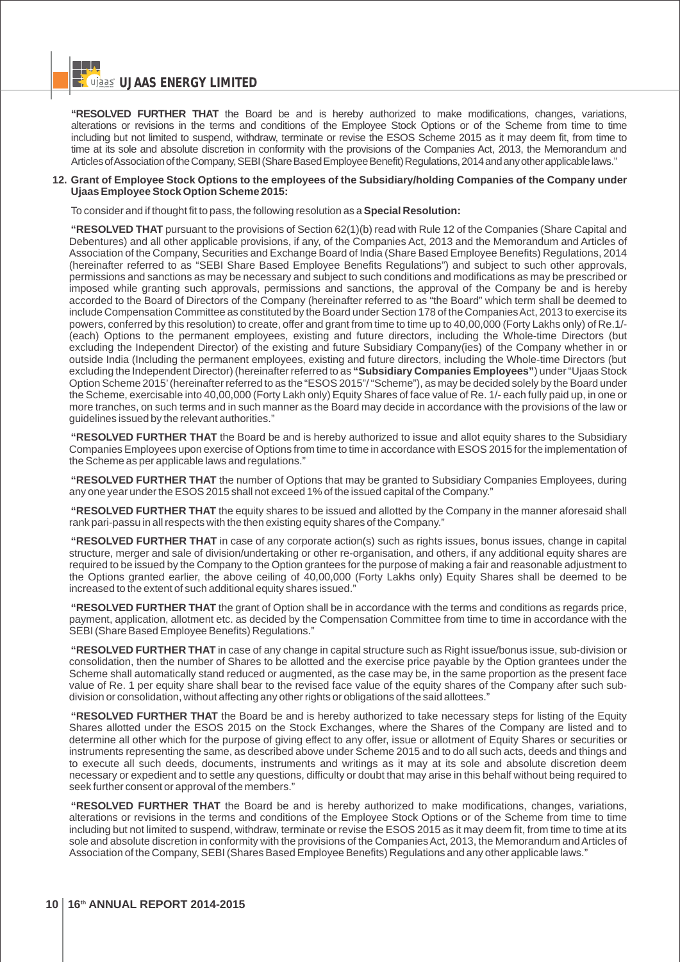**WILLIAG ENERGY LIMITED** 

**"RESOLVED FURTHER THAT** the Board be and is hereby authorized to make modifications, changes, variations, alterations or revisions in the terms and conditions of the Employee Stock Options or of the Scheme from time to time including but not limited to suspend, withdraw, terminate or revise the ESOS Scheme 2015 as it may deem fit, from time to time at its sole and absolute discretion in conformity with the provisions of the Companies Act, 2013, the Memorandum and Articles of Association of the Company, SEBI (Share Based Employee Benefit) Regulations, 2014 and any other applicable laws."

#### **12. Grant of Employee Stock Options to the employees of the Subsidiary/holding Companies of the Company under Ujaas Employee Stock Option Scheme 2015:**

To consider and if thought fit to pass, the following resolution as a **Special Resolution:**

**"RESOLVED THAT** pursuant to the provisions of Section 62(1)(b) read with Rule 12 of the Companies (Share Capital and Debentures) and all other applicable provisions, if any, of the Companies Act, 2013 and the Memorandum and Articles of Association of the Company, Securities and Exchange Board of India (Share Based Employee Benefits) Regulations, 2014 (hereinafter referred to as "SEBI Share Based Employee Benefits Regulations") and subject to such other approvals, permissions and sanctions as may be necessary and subject to such conditions and modifications as may be prescribed or imposed while granting such approvals, permissions and sanctions, the approval of the Company be and is hereby accorded to the Board of Directors of the Company (hereinafter referred to as "the Board" which term shall be deemed to include Compensation Committee as constituted by the Board under Section 178 of the Companies Act, 2013 to exercise its powers, conferred by this resolution) to create, offer and grant from time to time up to 40,00,000 (Forty Lakhs only) of Re.1/- (each) Options to the permanent employees, existing and future directors, including the Whole-time Directors (but excluding the Independent Director) of the existing and future Subsidiary Company(ies) of the Company whether in or outside India (Including the permanent employees, existing and future directors, including the Whole-time Directors (but excluding the Independent Director) (hereinafter referred to as **"Subsidiary Companies Employees"**) under "Ujaas Stock Option Scheme 2015'(hereinafter referred to as the "ESOS 2015"/ "Scheme"), as may be decided solely by the Board under the Scheme, exercisable into 40,00,000 (Forty Lakh only) Equity Shares of face value of Re. 1/- each fully paid up, in one or more tranches, on such terms and in such manner as the Board may decide in accordance with the provisions of the law or guidelines issued by the relevant authorities."

**"RESOLVED FURTHER THAT** the Board be and is hereby authorized to issue and allot equity shares to the Subsidiary Companies Employees upon exercise of Options from time to time in accordance with ESOS 2015 for the implementation of the Scheme as per applicable laws and regulations."

**"RESOLVED FURTHER THAT** the number of Options that may be granted to Subsidiary Companies Employees, during any one year under the ESOS 2015 shall not exceed 1% of the issued capital of the Company."

**"RESOLVED FURTHER THAT** the equity shares to be issued and allotted by the Company in the manner aforesaid shall rank pari-passu in all respects with the then existing equity shares of the Company."

**"RESOLVED FURTHER THAT** in case of any corporate action(s) such as rights issues, bonus issues, change in capital structure, merger and sale of division/undertaking or other re-organisation, and others, if any additional equity shares are required to be issued by the Company to the Option grantees for the purpose of making a fair and reasonable adjustment to the Options granted earlier, the above ceiling of 40,00,000 (Forty Lakhs only) Equity Shares shall be deemed to be increased to the extent of such additional equity shares issued."

**"RESOLVED FURTHER THAT** the grant of Option shall be in accordance with the terms and conditions as regards price, payment, application, allotment etc. as decided by the Compensation Committee from time to time in accordance with the SEBI (Share Based Employee Benefits) Regulations."

**"RESOLVED FURTHER THAT** in case of any change in capital structure such as Right issue/bonus issue, sub-division or consolidation, then the number of Shares to be allotted and the exercise price payable by the Option grantees under the Scheme shall automatically stand reduced or augmented, as the case may be, in the same proportion as the present face value of Re. 1 per equity share shall bear to the revised face value of the equity shares of the Company after such subdivision or consolidation, without affecting any other rights or obligations of the said allottees."

**"RESOLVED FURTHER THAT** the Board be and is hereby authorized to take necessary steps for listing of the Equity Shares allotted under the ESOS 2015 on the Stock Exchanges, where the Shares of the Company are listed and to determine all other which for the purpose of giving effect to any offer, issue or allotment of Equity Shares or securities or instruments representing the same, as described above under Scheme 2015 and to do all such acts, deeds and things and to execute all such deeds, documents, instruments and writings as it may at its sole and absolute discretion deem necessary or expedient and to settle any questions, difficulty or doubt that may arise in this behalf without being required to seek further consent or approval of the members."

**"RESOLVED FURTHER THAT** the Board be and is hereby authorized to make modifications, changes, variations, alterations or revisions in the terms and conditions of the Employee Stock Options or of the Scheme from time to time including but not limited to suspend, withdraw, terminate or revise the ESOS 2015 as it may deem fit, from time to time at its sole and absolute discretion in conformity with the provisions of the Companies Act, 2013, the Memorandum and Articles of Association of the Company, SEBI (Shares Based Employee Benefits) Regulations and any other applicable laws."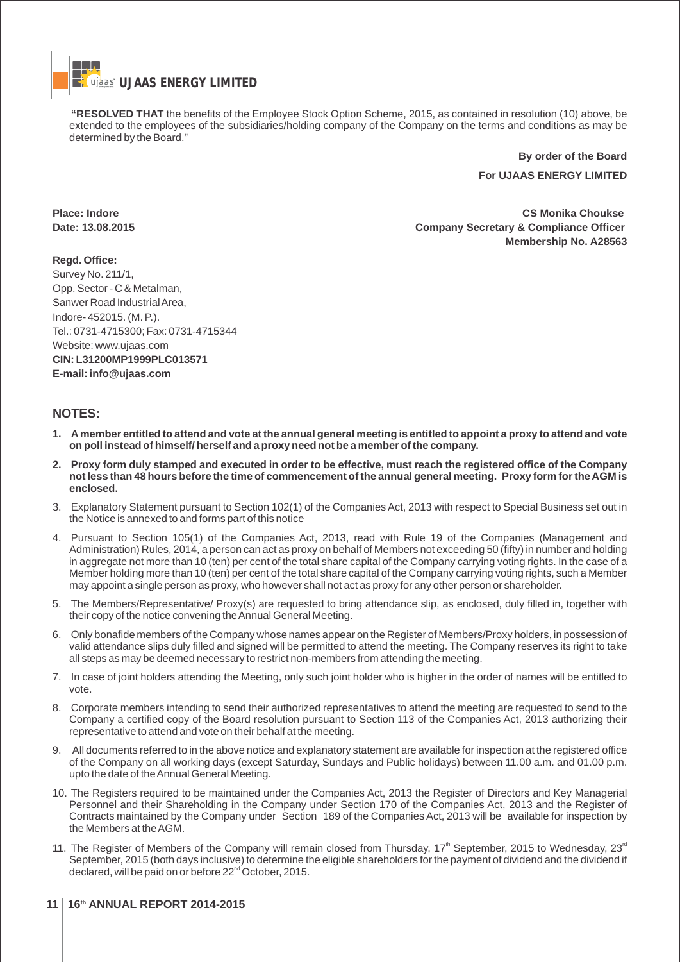**"RESOLVED THAT** the benefits of the Employee Stock Option Scheme, 2015, as contained in resolution (10) above, be extended to the employees of the subsidiaries/holding company of the Company on the terms and conditions as may be determined by the Board."

> **By order of the Board For UJAAS ENERGY LIMITED**

**Place: Indore CS Monika Choukse Date: 13.08.2015 Company Secretary & Compliance Officer Membership No. A28563**

**Regd. Office:** Survey No. 211/1, Opp. Sector - C & Metalman, Sanwer Road Industrial Area, Indore- 452015. (M. P.). Tel.: 0731-4715300; Fax: 0731-4715344 Website: www.ujaas.com **CIN: L31200MP1999PLC013571 E-mail: info@ujaas.com**

# **NOTES:**

- **1. Amember entitled to attend and vote at the annual general meeting is entitled to appoint a proxy to attend and vote on poll instead of himself/ herself and a proxy need not be a member of the company.**
- **2. Proxy form duly stamped and executed in order to be effective, must reach the registered office of the Company not less than 48 hours before the time of commencement of the annual general meeting. Proxy form for the AGM is enclosed.**
- 3. Explanatory Statement pursuant to Section 102(1) of the Companies Act, 2013 with respect to Special Business set out in the Notice is annexed to and forms part of this notice
- 4. Pursuant to Section 105(1) of the Companies Act, 2013, read with Rule 19 of the Companies (Management and Administration) Rules, 2014, a person can act as proxy on behalf of Members not exceeding 50 (fifty) in number and holding in aggregate not more than 10 (ten) per cent of the total share capital of the Company carrying voting rights. In the case of a Member holding more than 10 (ten) per cent of the total share capital of the Company carrying voting rights, such a Member may appoint a single person as proxy, who however shall not act as proxy for any other person or shareholder.
- 5. The Members/Representative/ Proxy(s) are requested to bring attendance slip, as enclosed, duly filled in, together with their copy of the notice convening the Annual General Meeting.
- 6. Only bonafide members of the Company whose names appear on the Register of Members/Proxy holders, in possession of valid attendance slips duly filled and signed will be permitted to attend the meeting. The Company reserves its right to take all steps as may be deemed necessary to restrict non-members from attending the meeting.
- 7. In case of joint holders attending the Meeting, only such joint holder who is higher in the order of names will be entitled to vote.
- 8. Corporate members intending to send their authorized representatives to attend the meeting are requested to send to the Company a certified copy of the Board resolution pursuant to Section 113 of the Companies Act, 2013 authorizing their representative to attend and vote on their behalf at the meeting.
- 9. All documents referred to in the above notice and explanatory statement are available for inspection at the registered office of the Company on all working days (except Saturday, Sundays and Public holidays) between 11.00 a.m. and 01.00 p.m. upto the date of the Annual General Meeting.
- 10. The Registers required to be maintained under the Companies Act, 2013 the Register of Directors and Key Managerial Personnel and their Shareholding in the Company under Section 170 of the Companies Act, 2013 and the Register of Contracts maintained by the Company under Section 189 of the Companies Act, 2013 will be available for inspection by the Members at the AGM.
- 11. The Register of Members of the Company will remain closed from Thursday,  $17<sup>th</sup>$  September, 2015 to Wednesday,  $23<sup>rd</sup>$ September, 2015 (both days inclusive) to determine the eligible shareholders for the payment of dividend and the dividend if declared, will be paid on or before 22<sup>nd</sup> October, 2015.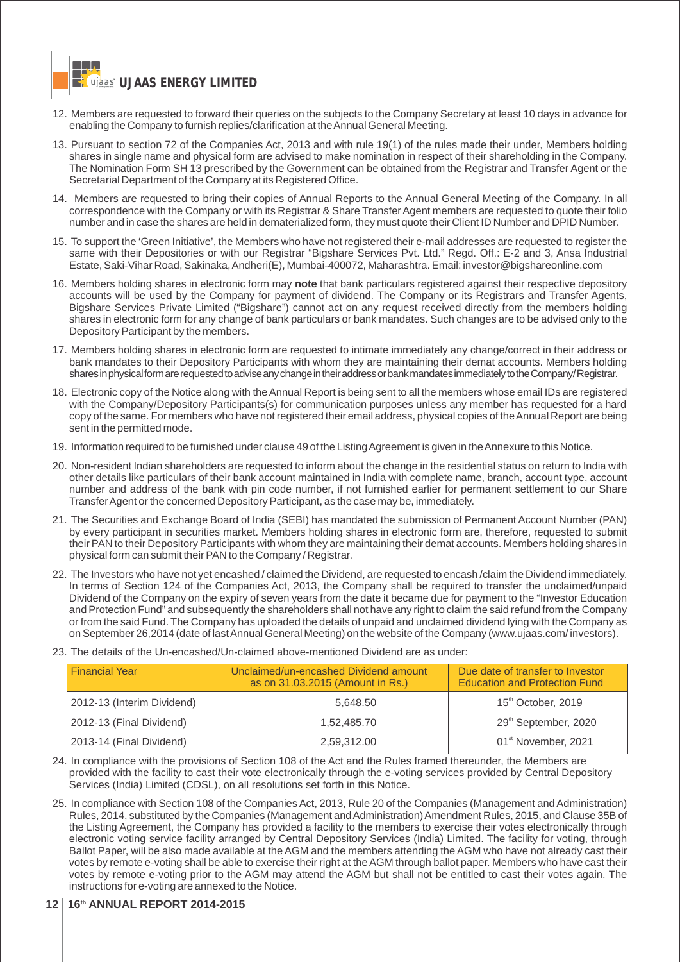- 12. Members are requested to forward their queries on the subjects to the Company Secretary at least 10 days in advance for enabling the Company to furnish replies/clarification at the Annual General Meeting.
- 13. Pursuant to section 72 of the Companies Act, 2013 and with rule 19(1) of the rules made their under, Members holding shares in single name and physical form are advised to make nomination in respect of their shareholding in the Company. The Nomination Form SH 13 prescribed by the Government can be obtained from the Registrar and Transfer Agent or the Secretarial Department of the Company at its Registered Office.
- 14. Members are requested to bring their copies of Annual Reports to the Annual General Meeting of the Company. In all correspondence with the Company or with its Registrar & Share Transfer Agent members are requested to quote their folio number and in case the shares are held in dematerialized form, they must quote their Client ID Number and DPID Number.
- 15. To support the 'Green Initiative', the Members who have not registered their e-mail addresses are requested to register the same with their Depositories or with our Registrar "Bigshare Services Pvt. Ltd." Regd. Off.: E-2 and 3, Ansa Industrial Estate, Saki-Vihar Road, Sakinaka, Andheri(E), Mumbai-400072, Maharashtra. Email: investor@bigshareonline.com
- 16. Members holding shares in electronic form may **note** that bank particulars registered against their respective depository accounts will be used by the Company for payment of dividend. The Company or its Registrars and Transfer Agents, Bigshare Services Private Limited ("Bigshare") cannot act on any request received directly from the members holding shares in electronic form for any change of bank particulars or bank mandates. Such changes are to be advised only to the Depository Participant by the members.
- 17. Members holding shares in electronic form are requested to intimate immediately any change/correct in their address or bank mandates to their Depository Participants with whom they are maintaining their demat accounts. Members holding sharesinphysicalformarerequestedtoadviseanychangeintheiraddressorbankmandatesimmediatelytotheCompany/Registrar.
- 18. Electronic copy of the Notice along with the Annual Report is being sent to all the members whose email IDs are registered with the Company/Depository Participants(s) for communication purposes unless any member has requested for a hard copy of the same. For members who have not registered their email address, physical copies of the Annual Report are being sent in the permitted mode.
- 19. Information required to be furnished under clause 49 of the Listing Agreement is given in the Annexure to this Notice.
- 20. Non-resident Indian shareholders are requested to inform about the change in the residential status on return to India with other details like particulars of their bank account maintained in India with complete name, branch, account type, account number and address of the bank with pin code number, if not furnished earlier for permanent settlement to our Share Transfer Agent or the concerned Depository Participant, as the case may be, immediately.
- 21. The Securities and Exchange Board of India (SEBI) has mandated the submission of Permanent Account Number (PAN) by every participant in securities market. Members holding shares in electronic form are, therefore, requested to submit their PAN to their Depository Participants with whom they are maintaining their demat accounts. Members holding shares in physical form can submit their PAN to the Company / Registrar.
- 22. The Investors who have not yet encashed / claimed the Dividend, are requested to encash /claim the Dividend immediately. In terms of Section 124 of the Companies Act, 2013, the Company shall be required to transfer the unclaimed/unpaid Dividend of the Company on the expiry of seven years from the date it became due for payment to the "Investor Education and Protection Fund" and subsequently the shareholders shall not have any right to claim the said refund from the Company or from the said Fund. The Company has uploaded the details of unpaid and unclaimed dividend lying with the Company as on September 26,2014 (date of last Annual General Meeting) on the website of the Company (www.ujaas.com/ investors).
- 23. The details of the Un-encashed/Un-claimed above-mentioned Dividend are as under:

| <b>Financial Year</b>      | Unclaimed/un-encashed Dividend amount<br>as on 31.03.2015 (Amount in Rs.) | Due date of transfer to Investor<br><b>Education and Protection Fund</b> |  |
|----------------------------|---------------------------------------------------------------------------|--------------------------------------------------------------------------|--|
| 2012-13 (Interim Dividend) | 5.648.50                                                                  | 15 <sup>th</sup> October, 2019                                           |  |
| 2012-13 (Final Dividend)   | 1.52.485.70                                                               | 29 <sup>th</sup> September, 2020                                         |  |
| 2013-14 (Final Dividend)   | 2,59,312.00                                                               | 01 <sup>st</sup> November, 2021                                          |  |

- 24. In compliance with the provisions of Section 108 of the Act and the Rules framed thereunder, the Members are provided with the facility to cast their vote electronically through the e-voting services provided by Central Depository Services (India) Limited (CDSL), on all resolutions set forth in this Notice.
- 25. In compliance with Section 108 of the Companies Act, 2013, Rule 20 of the Companies (Management and Administration) Rules, 2014, substituted by the Companies (Management and Administration) Amendment Rules, 2015, and Clause 35B of the Listing Agreement, the Company has provided a facility to the members to exercise their votes electronically through electronic voting service facility arranged by Central Depository Services (India) Limited. The facility for voting, through Ballot Paper, will be also made available at the AGM and the members attending the AGM who have not already cast their votes by remote e-voting shall be able to exercise their right at the AGM through ballot paper. Members who have cast their votes by remote e-voting prior to the AGM may attend the AGM but shall not be entitled to cast their votes again. The instructions for e-voting are annexed to the Notice.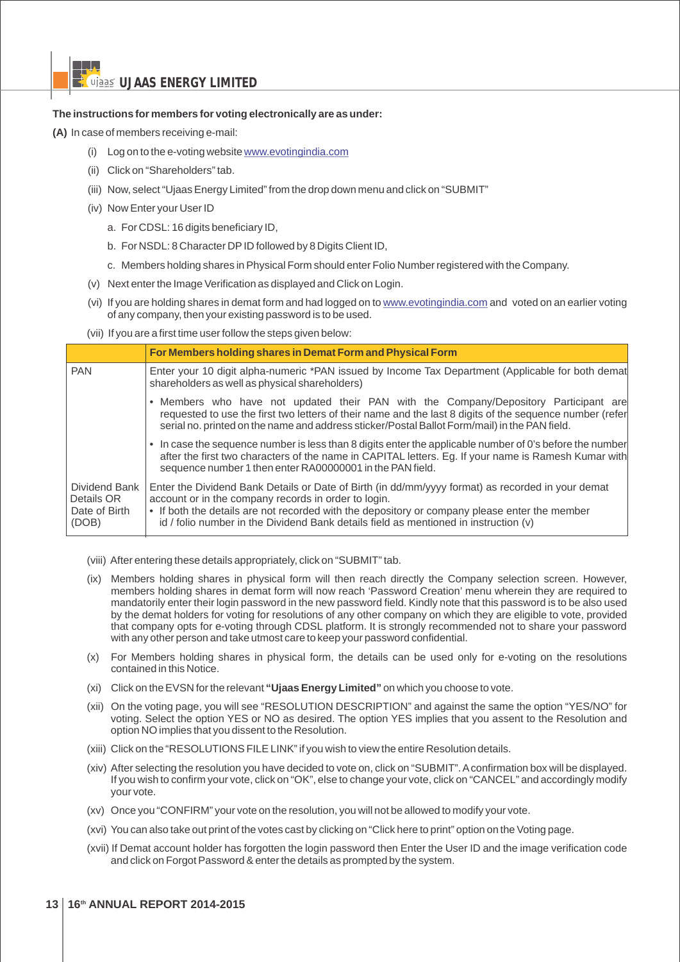## **The instructions for members for voting electronically are as under:**

**(A)** In case of members receiving e-mail:

- (i) Log on to the e-voting website www.evotingindia.com
- (ii) Click on "Shareholders" tab.
- (iii) Now, select "Ujaas Energy Limited" from the drop down menu and click on "SUBMIT"
- (iv) Now Enter your User ID
	- a. For CDSL: 16 digits beneficiary ID,
	- b. For NSDL: 8 Character DPID followed by 8 Digits Client ID,
	- c. Members holding shares in Physical Form should enter Folio Number registered with the Company.
- (v) Next enter the Image Verification as displayed and Click on Login.
- (vi) If you are holding shares in demat form and had logged on to www.evotingindia.com and voted on an earlier voting of any company, then your existing password is to be used.
- (vii) If you are a first time user follow the steps given below:

|                                                       | For Members holding shares in Demat Form and Physical Form                                                                                                                                                                                                                                                                                         |  |  |  |
|-------------------------------------------------------|----------------------------------------------------------------------------------------------------------------------------------------------------------------------------------------------------------------------------------------------------------------------------------------------------------------------------------------------------|--|--|--|
| <b>PAN</b>                                            | Enter your 10 digit alpha-numeric *PAN issued by Income Tax Department (Applicable for both demat<br>shareholders as well as physical shareholders)                                                                                                                                                                                                |  |  |  |
|                                                       | • Members who have not updated their PAN with the Company/Depository Participant are<br>requested to use the first two letters of their name and the last 8 digits of the sequence number (refer<br>serial no. printed on the name and address sticker/Postal Ballot Form/mail) in the PAN field.                                                  |  |  |  |
|                                                       | • In case the sequence number is less than 8 digits enter the applicable number of 0's before the number<br>after the first two characters of the name in CAPITAL letters. Eg. If your name is Ramesh Kumar with<br>sequence number 1 then enter RA00000001 in the PAN field.                                                                      |  |  |  |
| Dividend Bank<br>Details OR<br>Date of Birth<br>(DOB) | Enter the Dividend Bank Details or Date of Birth (in dd/mm/yyyy format) as recorded in your demat<br>account or in the company records in order to login.<br>• If both the details are not recorded with the depository or company please enter the member<br>id / folio number in the Dividend Bank details field as mentioned in instruction (v) |  |  |  |

- (viii) After entering these details appropriately, click on "SUBMIT" tab.
- (ix) Members holding shares in physical form will then reach directly the Company selection screen. However, members holding shares in demat form will now reach 'Password Creation' menu wherein they are required to mandatorily enter their login password in the new password field. Kindly note that this password is to be also used by the demat holders for voting for resolutions of any other company on which they are eligible to vote, provided that company opts for e-voting through CDSL platform. It is strongly recommended not to share your password with any other person and take utmost care to keep your password confidential.
- (x) For Members holding shares in physical form, the details can be used only for e-voting on the resolutions contained in this Notice.
- (xi) Click on the EVSN for the relevant **"Ujaas Energy Limited"** on which you choose to vote.
- (xii) On the voting page, you will see "RESOLUTION DESCRIPTION" and against the same the option "YES/NO" for voting. Select the option YES or NO as desired. The option YES implies that you assent to the Resolution and option NO implies that you dissent to the Resolution.
- (xiii) Click on the "RESOLUTIONS FILE LINK" if you wish to view the entire Resolution details.
- (xiv) After selecting the resolution you have decided to vote on, click on "SUBMIT". Aconfirmation box will be displayed. If you wish to confirm your vote, click on "OK", else to change your vote, click on "CANCEL" and accordingly modify your vote.
- (xv) Once you "CONFIRM" your vote on the resolution, you will not be allowed to modify your vote.
- (xvi) You can also take out print of the votes cast by clicking on "Click here to print" option on the Voting page.
- (xvii) If Demat account holder has forgotten the login password then Enter the User ID and the image verification code and click on Forgot Password & enter the details as prompted by the system.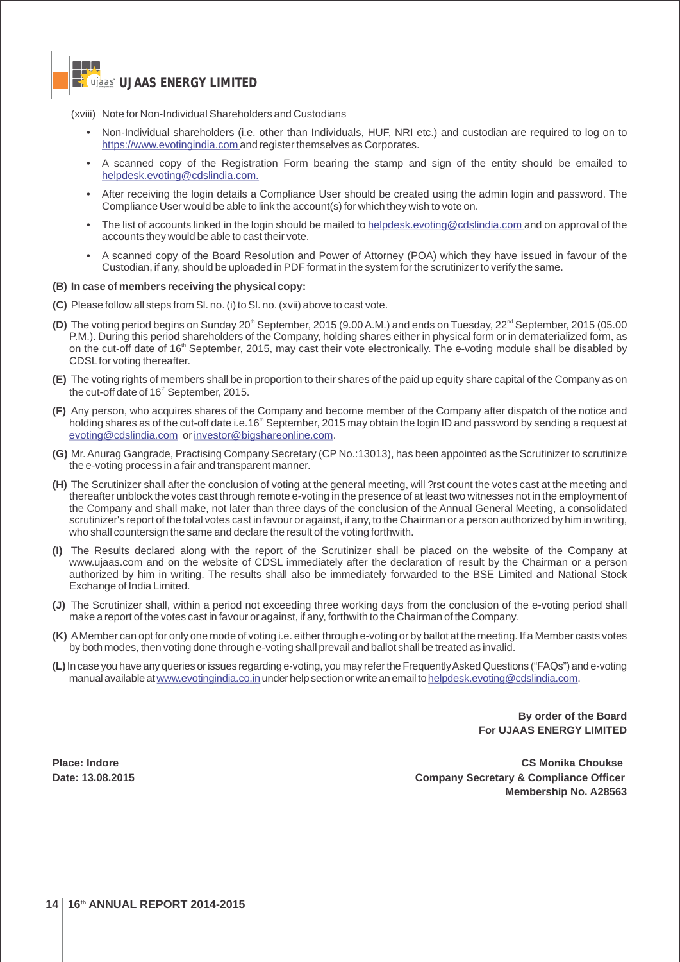(xviii) Note for Non-Individual Shareholders and Custodians

- Non-Individual shareholders (i.e. other than Individuals, HUF, NRI etc.) and custodian are required to log on to https://www.evotingindia.com and register themselves as Corporates.
- A scanned copy of the Registration Form bearing the stamp and sign of the entity should be emailed to helpdesk.evoting@cdslindia.com.
- After receiving the login details a Compliance User should be created using the admin login and password. The Compliance User would be able to link the account(s) for which they wish to vote on.
- The list of accounts linked in the login should be mailed to helpdesk.evoting@cdslindia.com and on approval of the accounts they would be able to cast their vote.
- A scanned copy of the Board Resolution and Power of Attorney (POA) which they have issued in favour of the Custodian, if any, should be uploaded in PDF format in the system for the scrutinizer to verify the same.

#### **(B) In case of members receiving the physical copy:**

- **(C)** Please follow all steps from Sl. no. (i) to Sl. no. (xvii) above to cast vote.
- (D) The voting period begins on Sunday 20<sup>th</sup> September, 2015 (9.00 A.M.) and ends on Tuesday, 22<sup>nd</sup> September, 2015 (05.00 P.M.). During this period shareholders of the Company, holding shares either in physical form or in dematerialized form, as on the cut-off date of 16<sup>th</sup> September, 2015, may cast their vote electronically. The e-voting module shall be disabled by CDSLfor voting thereafter.
- **(E)** The voting rights of members shall be in proportion to their shares of the paid up equity share capital of the Company as on the cut-off date of 16<sup>th</sup> September, 2015.
- **(F)** Any person, who acquires shares of the Company and become member of the Company after dispatch of the notice and holding shares as of the cut-off date i.e.16<sup>th</sup> September, 2015 may obtain the login ID and password by sending a request at evoting@cdslindia.com or investor@bigshareonline.com.
- Mr. Anurag Gangrade, Practising Company Secretary (CP No.:13013), has been appointed as the Scrutinizer to scrutinize **(G)** the e-voting process in a fair and transparent manner.
- **(H)** The Scrutinizer shall after the conclusion of voting at the general meeting, will ?rst count the votes cast at the meeting and thereafter unblock the votes cast through remote e-voting in the presence of at least two witnesses not in the employment of the Company and shall make, not later than three days of the conclusion of the Annual General Meeting, a consolidated scrutinizer's report of the total votes cast in favour or against, if any, to the Chairman or a person authorized by him in writing, who shall countersign the same and declare the result of the voting forthwith.
- **(I)** The Results declared along with the report of the Scrutinizer shall be placed on the website of the Company at www.ujaas.com and on the website of CDSL immediately after the declaration of result by the Chairman or a person authorized by him in writing. The results shall also be immediately forwarded to the BSE Limited and National Stock Exchange of India Limited.
- **(J)** The Scrutinizer shall, within a period not exceeding three working days from the conclusion of the e-voting period shall make a report of the votes cast in favour or against, if any, forthwith to the Chairman of the Company.
- **(K)** AMember can opt for only one mode of voting i.e. either through e-voting or by ballot at the meeting. If a Member casts votes by both modes, then voting done through e-voting shall prevail and ballot shall be treated as invalid.
- **(L)**In case you have any queries orissues regarding e-voting, you may refertheFrequentlyAskedQuestions ("FAQs") and e-voting manual available at <u>www.evotingindia.co.in</u> under help section or write an email to <u>helpdesk.evoting@cdslindia.com</u>.

**By order of the Board For UJAAS ENERGY LIMITED** 

**Place: Indore CS Monika Choukse Date: 13.08.2015 Company Secretary & Compliance Officer Membership No. A28563**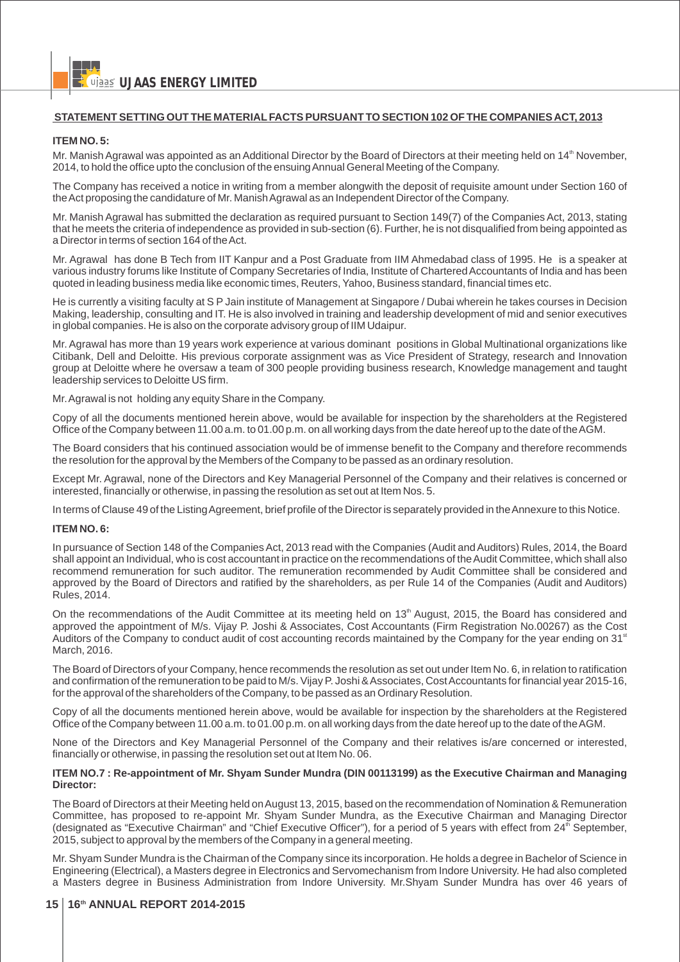## **STATEMENT SETTING OUT THE MATERIALFACTS PURSUANT TO SECTION 102 OF THE COMPANIES ACT, 2013**

#### **ITEM NO. 5:**

Mr. Manish Agrawal was appointed as an Additional Director by the Board of Directors at their meeting held on  $14<sup>th</sup>$  November, 2014, to hold the office upto the conclusion of the ensuing Annual General Meeting of the Company.

The Company has received a notice in writing from a member alongwith the deposit of requisite amount under Section 160 of the Act proposing the candidature of Mr. Manish Agrawal as an Independent Director of the Company.

Mr. Manish Agrawal has submitted the declaration as required pursuant to Section 149(7) of the Companies Act, 2013, stating that he meets the criteria of independence as provided in sub-section (6). Further, he is not disqualified from being appointed as a Director in terms of section 164 of the Act.

Mr. Agrawal has done B Tech from IIT Kanpur and a Post Graduate from IIM Ahmedabad class of 1995. He is a speaker at various industry forums like Institute of Company Secretaries of India, Institute of Chartered Accountants of India and has been quoted in leading business media like economic times, Reuters, Yahoo, Business standard, financial times etc.

He is currently a visiting faculty at S P Jain institute of Management at Singapore / Dubai wherein he takes courses in Decision Making, leadership, consulting and IT. He is also involved in training and leadership development of mid and senior executives in global companies. He is also on the corporate advisory group of IIM Udaipur.

Mr. Agrawal has more than 19 years work experience at various dominant positions in Global Multinational organizations like Citibank, Dell and Deloitte. His previous corporate assignment was as Vice President of Strategy, research and Innovation group at Deloitte where he oversaw a team of 300 people providing business research, Knowledge management and taught leadership services to Deloitte US firm.

Mr. Agrawal is not holding any equity Share in the Company.

Copy of all the documents mentioned herein above, would be available for inspection by the shareholders at the Registered Office of the Company between 11.00 a.m. to 01.00 p.m. on all working days from the date hereof up to the date of the AGM.

The Board considers that his continued association would be of immense benefit to the Company and therefore recommends the resolution for the approval by the Members of the Company to be passed as an ordinary resolution.

Except Mr. Agrawal, none of the Directors and Key Managerial Personnel of the Company and their relatives is concerned or interested, financially or otherwise, in passing the resolution as set out at Item Nos. 5.

In terms of Clause 49 of the Listing Agreement, brief profile of the Director is separately provided in the Annexure to this Notice.

#### **ITEM NO. 6:**

In pursuance of Section 148 of the Companies Act, 2013 read with the Companies (Audit and Auditors) Rules, 2014, the Board shall appoint an Individual, who is cost accountant in practice on the recommendations of the Audit Committee, which shall also recommend remuneration for such auditor. The remuneration recommended by Audit Committee shall be considered and approved by the Board of Directors and ratified by the shareholders, as per Rule 14 of the Companies (Audit and Auditors) Rules, 2014.

On the recommendations of the Audit Committee at its meeting held on 13<sup>th</sup> August, 2015, the Board has considered and approved the appointment of M/s. Vijay P. Joshi & Associates, Cost Accountants (Firm Registration No.00267) as the Cost Auditors of the Company to conduct audit of cost accounting records maintained by the Company for the year ending on 31<sup>st</sup> March, 2016.

The Board of Directors of your Company, hence recommends the resolution as set out under Item No. 6, in relation to ratification and confirmation of the remuneration to be paid to M/s. Vijay P. Joshi & Associates, Cost Accountants for financial year 2015-16, for the approval of the shareholders of the Company, to be passed as an Ordinary Resolution.

Copy of all the documents mentioned herein above, would be available for inspection by the shareholders at the Registered Office of the Company between 11.00 a.m. to 01.00 p.m. on all working days from the date hereof up to the date of the AGM.

None of the Directors and Key Managerial Personnel of the Company and their relatives is/are concerned or interested, financially or otherwise, in passing the resolution set out at Item No. 06.

#### **ITEM NO.7 : Re-appointment of Mr. Shyam Sunder Mundra (DIN 00113199) as the Executive Chairman and Managing Director:**

The Board of Directors at their Meeting held on August 13, 2015, based on the recommendation of Nomination & Remuneration Committee, has proposed to re-appoint Mr. Shyam Sunder Mundra, as the Executive Chairman and Managing Director (designated as "Executive Chairman" and "Chief Executive Officer"), for a period of 5 years with effect from  $24<sup>th</sup>$  September, 2015, subject to approval by the members of the Company in a general meeting.

Mr. Shyam Sunder Mundra is the Chairman of the Company since its incorporation. He holds a degree in Bachelor of Science in Engineering (Electrical), a Masters degree in Electronics and Servomechanism from Indore University. He had also completed a Masters degree in Business Administration from Indore University. Mr.Shyam Sunder Mundra has over 46 years of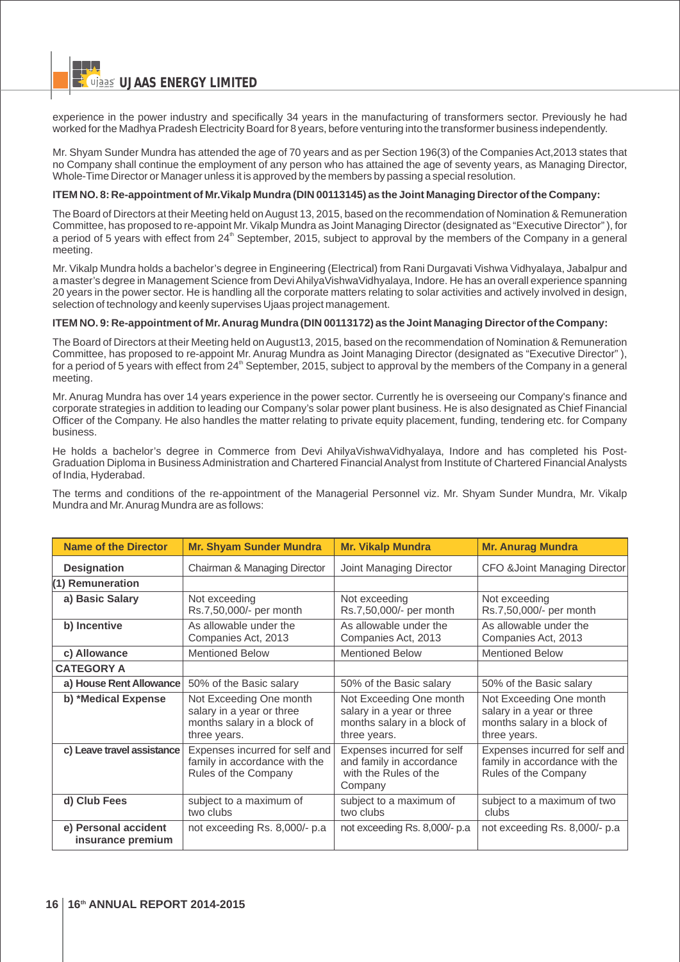experience in the power industry and specifically 34 years in the manufacturing of transformers sector. Previously he had worked for the Madhya Pradesh Electricity Board for 8 years, before venturing into the transformer business independently.

Mr. Shyam Sunder Mundra has attended the age of 70 years and as per Section 196(3) of the Companies Act,2013 states that no Company shall continue the employment of any person who has attained the age of seventy years, as Managing Director, Whole-Time Director or Manager unless it is approved by the members by passing a special resolution.

#### **ITEM NO. 8: Re-appointment of Mr.Vikalp Mundra (DIN 00113145) as the Joint Managing Director of the Company:**

The Board of Directors at their Meeting held on August 13, 2015, based on the recommendation of Nomination & Remuneration Committee, has proposed to re-appoint Mr. Vikalp Mundra as Joint Managing Director (designated as "Executive Director" ), for a period of 5 years with effect from 24<sup>th</sup> September, 2015, subject to approval by the members of the Company in a general meeting.

Mr. Vikalp Mundra holds a bachelor's degree in Engineering (Electrical) from Rani Durgavati Vishwa Vidhyalaya, Jabalpur and a master's degree in Management Science from Devi Ahilya VishwaVidhyalaya, Indore. He has an overall experience spanning 20 years in the power sector. He is handling all the corporate matters relating to solar activities and actively involved in design, selection of technology and keenly supervises Ujaas project management.

#### **ITEM NO. 9: Re-appointment of Mr. Anurag Mundra (DIN 00113172) as the Joint Managing Director of the Company:**

The Board of Directors at their Meeting held on August13, 2015, based on the recommendation of Nomination & Remuneration Committee, has proposed to re-appoint Mr. Anurag Mundra as Joint Managing Director (designated as "Executive Director" ), for a period of 5 years with effect from  $24<sup>th</sup>$  September, 2015, subject to approval by the members of the Company in a general meeting.

Mr. Anurag Mundra has over 14 years experience in the power sector. Currently he is overseeing our Company's finance and corporate strategies in addition to leading our Company's solar power plant business. He is also designated as Chief Financial Officer of the Company. He also handles the matter relating to private equity placement, funding, tendering etc. for Company business.

He holds a bachelor's degree in Commerce from Devi AhilyaVishwaVidhyalaya, Indore and has completed his Post-Graduation Diploma in Business Administration and Chartered Financial Analyst from Institute of Chartered Financial Analysts of India, Hyderabad.

The terms and conditions of the re-appointment of the Managerial Personnel viz. Mr. Shyam Sunder Mundra, Mr. Vikalp Mundra and Mr. Anurag Mundra are as follows:

| <b>Name of the Director</b>               | <b>Mr. Shyam Sunder Mundra</b>                                                                      | <b>Mr. Vikalp Mundra</b>                                                                            | <b>Mr. Anurag Mundra</b>                                                                            |
|-------------------------------------------|-----------------------------------------------------------------------------------------------------|-----------------------------------------------------------------------------------------------------|-----------------------------------------------------------------------------------------------------|
| <b>Designation</b>                        | Chairman & Managing Director                                                                        | Joint Managing Director<br>CFO &Joint Managing Director                                             |                                                                                                     |
| (1) Remuneration                          |                                                                                                     |                                                                                                     |                                                                                                     |
| a) Basic Salary                           | Not exceeding<br>Rs.7,50,000/- per month                                                            | Not exceeding<br>Rs.7,50,000/- per month                                                            | Not exceeding<br>Rs.7,50,000/- per month                                                            |
| b) Incentive                              | As allowable under the<br>Companies Act, 2013                                                       | As allowable under the<br>Companies Act, 2013                                                       | As allowable under the<br>Companies Act, 2013                                                       |
| c) Allowance                              | <b>Mentioned Below</b>                                                                              | <b>Mentioned Below</b>                                                                              | <b>Mentioned Below</b>                                                                              |
| <b>CATEGORY A</b>                         |                                                                                                     |                                                                                                     |                                                                                                     |
| a) House Rent Allowance                   | 50% of the Basic salary                                                                             | 50% of the Basic salary                                                                             | 50% of the Basic salary                                                                             |
| b) *Medical Expense                       | Not Exceeding One month<br>salary in a year or three<br>months salary in a block of<br>three years. | Not Exceeding One month<br>salary in a year or three<br>months salary in a block of<br>three years. | Not Exceeding One month<br>salary in a year or three<br>months salary in a block of<br>three years. |
| c) Leave travel assistance                | Expenses incurred for self and<br>family in accordance with the<br>Rules of the Company             | Expenses incurred for self<br>and family in accordance<br>with the Rules of the<br>Company          | Expenses incurred for self and<br>family in accordance with the<br>Rules of the Company             |
| d) Club Fees                              | subject to a maximum of<br>two clubs                                                                | subject to a maximum of<br>two clubs                                                                | subject to a maximum of two<br>clubs                                                                |
| e) Personal accident<br>insurance premium | not exceeding Rs. 8,000/- p.a.                                                                      | not exceeding Rs. 8,000/- p.a                                                                       | not exceeding Rs. 8,000/- p.a                                                                       |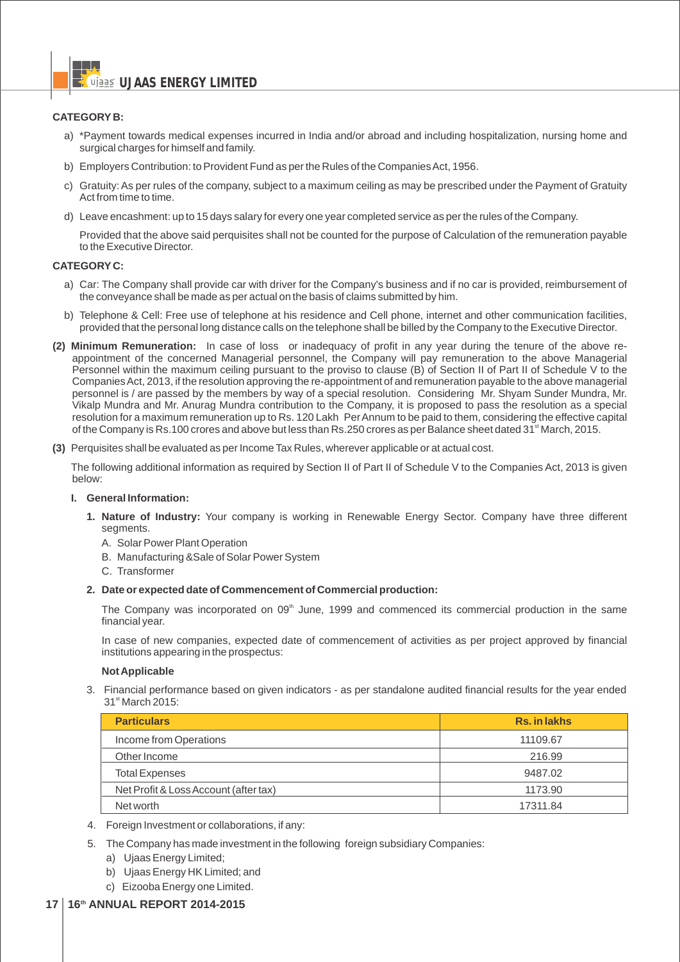## **CATEGORY B:**

- a) \*Payment towards medical expenses incurred in India and/or abroad and including hospitalization, nursing home and surgical charges for himself and family.
- b) Employers Contribution: to Provident Fund as per the Rules of the Companies Act, 1956.
- c) Gratuity: As per rules of the company, subject to a maximum ceiling as may be prescribed under the Payment of Gratuity Act from time to time.
- d) Leave encashment: up to 15 days salary for every one year completed service as per the rules of the Company.

Provided that the above said perquisites shall not be counted for the purpose of Calculation of the remuneration payable to the Executive Director.

#### **CATEGORY C:**

- a) Car: The Company shall provide car with driver for the Company's business and if no car is provided, reimbursement of the conveyance shall be made as per actual on the basis of claims submitted by him.
- b) Telephone & Cell: Free use of telephone at his residence and Cell phone, internet and other communication facilities, provided that the personal long distance calls on the telephone shall be billed by the Company to the Executive Director.
- **(2) Minimum Remuneration:** In case of loss or inadequacy of profit in any year during the tenure of the above reappointment of the concerned Managerial personnel, the Company will pay remuneration to the above Managerial Personnel within the maximum ceiling pursuant to the proviso to clause (B) of Section II of Part II of Schedule V to the Companies Act, 2013, if the resolution approving the re-appointment of and remuneration payable to the above managerial personnel is / are passed by the members by way of a special resolution. Considering Mr. Shyam Sunder Mundra, Mr. Vikalp Mundra and Mr. Anurag Mundra contribution to the Company, it is proposed to pass the resolution as a special resolution for a maximum remuneration up to Rs. 120 Lakh Per Annum to be paid to them, considering the effective capital of the Company is Rs.100 crores and above but less than Rs.250 crores as per Balance sheet dated 31<sup>st</sup> March, 2015.
- **(3)** Perquisites shall be evaluated as per Income Tax Rules, wherever applicable or at actual cost.

The following additional information as required by Section II of Part II of Schedule V to the Companies Act, 2013 is given below:

## **I. General Information:**

- **1. Nature of Industry:** Your company is working in Renewable Energy Sector. Company have three different segments.
	- A. Solar Power Plant Operation
	- B. Manufacturing &Sale of Solar Power System
	- C. Transformer
- **2. Date or expected date of Commencement of Commercial production:**

The Company was incorporated on  $09<sup>th</sup>$  June, 1999 and commenced its commercial production in the same financial year.

In case of new companies, expected date of commencement of activities as per project approved by financial institutions appearing in the prospectus:

#### **Not Applicable**

3. Financial performance based on given indicators - as per standalone audited financial results for the year ended 31<sup>st</sup> March 2015:

| <b>Particulars</b>                    | <b>Rs. in lakhs</b> |  |  |
|---------------------------------------|---------------------|--|--|
| Income from Operations                | 11109.67            |  |  |
| Other Income                          | 216.99              |  |  |
| <b>Total Expenses</b>                 | 9487.02             |  |  |
| Net Profit & Loss Account (after tax) | 1173.90             |  |  |
| Net worth                             | 17311.84            |  |  |

- 4. Foreign Investment or collaborations, if any:
- 5. The Company has made investment in the following foreign subsidiary Companies:
	- a) Ujaas Energy Limited;
	- b) Ujaas Energy HK Limited; and
	- c) Eizooba Energy one Limited.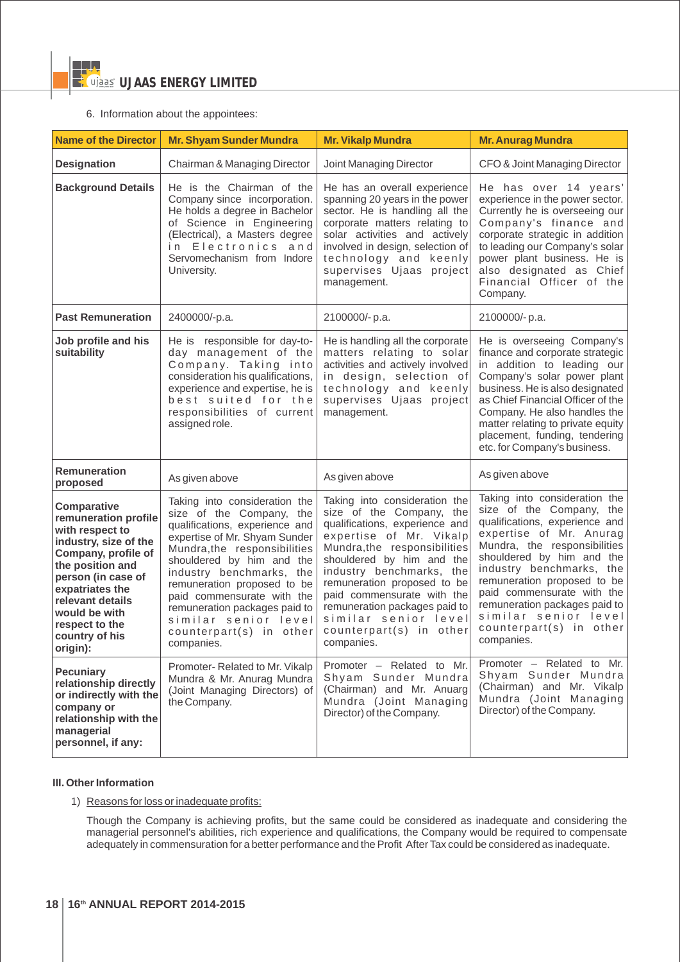## 6. Information about the appointees:

| <b>Name of the Director</b>                                                                                                                                                                                                                                     | <b>Mr. Shyam Sunder Mundra</b>                                                                                                                                                                                                                                                                                                                                                       | <b>Mr. Vikalp Mundra</b>                                                                                                                                                                                                                                                                                                                                                       | <b>Mr. Anurag Mundra</b>                                                                                                                                                                                                                                                                                                                                                       |  |
|-----------------------------------------------------------------------------------------------------------------------------------------------------------------------------------------------------------------------------------------------------------------|--------------------------------------------------------------------------------------------------------------------------------------------------------------------------------------------------------------------------------------------------------------------------------------------------------------------------------------------------------------------------------------|--------------------------------------------------------------------------------------------------------------------------------------------------------------------------------------------------------------------------------------------------------------------------------------------------------------------------------------------------------------------------------|--------------------------------------------------------------------------------------------------------------------------------------------------------------------------------------------------------------------------------------------------------------------------------------------------------------------------------------------------------------------------------|--|
| <b>Designation</b>                                                                                                                                                                                                                                              | Chairman & Managing Director                                                                                                                                                                                                                                                                                                                                                         | Joint Managing Director                                                                                                                                                                                                                                                                                                                                                        | CFO & Joint Managing Director                                                                                                                                                                                                                                                                                                                                                  |  |
| <b>Background Details</b>                                                                                                                                                                                                                                       | He is the Chairman of the<br>Company since incorporation.<br>He holds a degree in Bachelor<br>of Science in Engineering<br>(Electrical), a Masters degree<br>Electronics and<br>i n<br>Servomechanism from Indore<br>University.                                                                                                                                                     | He has an overall experience<br>spanning 20 years in the power<br>sector. He is handling all the<br>corporate matters relating to<br>solar activities and actively<br>involved in design, selection of<br>technology and keenly<br>supervises Ujaas project<br>management.                                                                                                     | He has over 14 years'<br>experience in the power sector.<br>Currently he is overseeing our<br>Company's finance and<br>corporate strategic in addition<br>to leading our Company's solar<br>power plant business. He is<br>also designated as Chief<br>Financial Officer of the<br>Company.                                                                                    |  |
| <b>Past Remuneration</b>                                                                                                                                                                                                                                        | 2400000/-p.a.                                                                                                                                                                                                                                                                                                                                                                        | 2100000/-p.a.                                                                                                                                                                                                                                                                                                                                                                  | 2100000/-p.a.                                                                                                                                                                                                                                                                                                                                                                  |  |
| Job profile and his<br>suitability                                                                                                                                                                                                                              | He is responsible for day-to-<br>day management of the<br>Company. Taking into<br>consideration his qualifications,<br>experience and expertise, he is<br>best suited for the<br>responsibilities of current<br>assigned role.                                                                                                                                                       | He is handling all the corporate<br>matters relating to solar<br>activities and actively involved<br>in design, selection of<br>technology and keenly<br>supervises Ujaas project<br>management.                                                                                                                                                                               | He is overseeing Company's<br>finance and corporate strategic<br>in addition to leading our<br>Company's solar power plant<br>business. He is also designated<br>as Chief Financial Officer of the<br>Company. He also handles the<br>matter relating to private equity<br>placement, funding, tendering<br>etc. for Company's business.                                       |  |
| <b>Remuneration</b><br>proposed                                                                                                                                                                                                                                 | As given above                                                                                                                                                                                                                                                                                                                                                                       | As given above                                                                                                                                                                                                                                                                                                                                                                 | As given above                                                                                                                                                                                                                                                                                                                                                                 |  |
| <b>Comparative</b><br>remuneration profile<br>with respect to<br>industry, size of the<br>Company, profile of<br>the position and<br>person (in case of<br>expatriates the<br>relevant details<br>would be with<br>respect to the<br>country of his<br>origin): | Taking into consideration the<br>size of the Company, the<br>qualifications, experience and<br>expertise of Mr. Shyam Sunder<br>Mundra, the responsibilities<br>shouldered by him and the<br>industry benchmarks, the<br>remuneration proposed to be<br>paid commensurate with the<br>remuneration packages paid to<br>similar senior level<br>counterpart(s) in other<br>companies. | Taking into consideration the<br>size of the Company, the<br>qualifications, experience and<br>expertise of Mr. Vikalp<br>Mundra, the responsibilities<br>shouldered by him and the<br>industry benchmarks, the<br>remuneration proposed to be<br>paid commensurate with the<br>remuneration packages paid to<br>similar senior level<br>counterpart(s) in other<br>companies. | Taking into consideration the<br>size of the Company, the<br>qualifications, experience and<br>expertise of Mr. Anurag<br>Mundra, the responsibilities<br>shouldered by him and the<br>industry benchmarks, the<br>remuneration proposed to be<br>paid commensurate with the<br>remuneration packages paid to<br>similar senior level<br>counterpart(s) in other<br>companies. |  |
| <b>Pecuniary</b><br>relationship directly<br>or indirectly with the<br>company or<br>relationship with the<br>managerial<br>personnel, if any:                                                                                                                  | Promoter-Related to Mr. Vikalp<br>Mundra & Mr. Anurag Mundra<br>(Joint Managing Directors) of<br>the Company.                                                                                                                                                                                                                                                                        | Promoter - Related to Mr.<br>Shyam Sunder Mundra<br>(Chairman) and Mr. Anuarg<br>Mundra (Joint Managing<br>Director) of the Company.                                                                                                                                                                                                                                           | Promoter - Related to Mr.<br>Shyam Sunder Mundra<br>(Chairman) and Mr. Vikalp<br>Mundra (Joint Managing<br>Director) of the Company.                                                                                                                                                                                                                                           |  |

## **III. Other Information**

1) Reasons for loss or inadequate profits:

Though the Company is achieving profits, but the same could be considered as inadequate and considering the managerial personnel's abilities, rich experience and qualifications, the Company would be required to compensate adequately in commensuration for a better performance and the Profit After Tax could be considered as inadequate.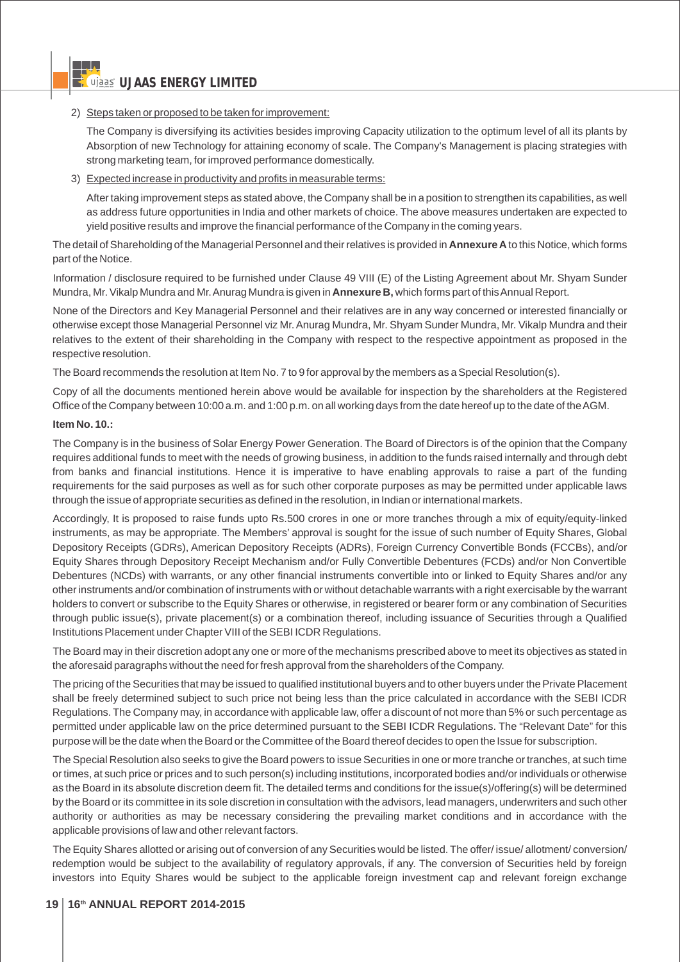## 2) Steps taken or proposed to be taken for improvement:

The Company is diversifying its activities besides improving Capacity utilization to the optimum level of all its plants by Absorption of new Technology for attaining economy of scale. The Company's Management is placing strategies with strong marketing team, for improved performance domestically.

## 3) Expected increase in productivity and profits in measurable terms:

After taking improvement steps as stated above, the Company shall be in a position to strengthen its capabilities, as well as address future opportunities in India and other markets of choice. The above measures undertaken are expected to yield positive results and improve the financial performance of the Company in the coming years.

The detail of Shareholding of the Managerial Personnel and their relatives is provided in **Annexure A** to this Notice, which forms part of the Notice.

Information / disclosure required to be furnished under Clause 49 VIII (E) of the Listing Agreement about Mr. Shyam Sunder Mundra, Mr. Vikalp Mundra and Mr. Anurag Mundra is given in **Annexure B,** which forms part of this Annual Report.

None of the Directors and Key Managerial Personnel and their relatives are in any way concerned or interested financially or otherwise except those Managerial Personnel viz Mr. Anurag Mundra, Mr. Shyam Sunder Mundra, Mr. Vikalp Mundra and their relatives to the extent of their shareholding in the Company with respect to the respective appointment as proposed in the respective resolution.

The Board recommends the resolution at Item No. 7 to 9 for approval by the members as a Special Resolution(s).

Copy of all the documents mentioned herein above would be available for inspection by the shareholders at the Registered Office of the Company between 10:00 a.m. and 1:00 p.m. on all working days from the date hereof up to the date of the AGM.

## **Item No. 10.:**

The Company is in the business of Solar Energy Power Generation. The Board of Directors is of the opinion that the Company requires additional funds to meet with the needs of growing business, in addition to the funds raised internally and through debt from banks and financial institutions. Hence it is imperative to have enabling approvals to raise a part of the funding requirements for the said purposes as well as for such other corporate purposes as may be permitted under applicable laws through the issue of appropriate securities as defined in the resolution, in Indian or international markets.

Accordingly, It is proposed to raise funds upto Rs.500 crores in one or more tranches through a mix of equity/equity-linked instruments, as may be appropriate. The Members' approval is sought for the issue of such number of Equity Shares, Global Depository Receipts (GDRs), American Depository Receipts (ADRs), Foreign Currency Convertible Bonds (FCCBs), and/or Equity Shares through Depository Receipt Mechanism and/or Fully Convertible Debentures (FCDs) and/or Non Convertible Debentures (NCDs) with warrants, or any other financial instruments convertible into or linked to Equity Shares and/or any other instruments and/or combination of instruments with or without detachable warrants with a right exercisable by the warrant holders to convert or subscribe to the Equity Shares or otherwise, in registered or bearer form or any combination of Securities through public issue(s), private placement(s) or a combination thereof, including issuance of Securities through a Qualified Institutions Placement under Chapter VIII of the SEBI ICDR Regulations.

The Board may in their discretion adopt any one or more of the mechanisms prescribed above to meet its objectives as stated in the aforesaid paragraphs without the need for fresh approval from the shareholders of the Company.

The pricing of the Securities that may be issued to qualified institutional buyers and to other buyers under the Private Placement shall be freely determined subject to such price not being less than the price calculated in accordance with the SEBI ICDR Regulations. The Company may, in accordance with applicable law, offer a discount of not more than 5% or such percentage as permitted under applicable law on the price determined pursuant to the SEBI ICDR Regulations. The "Relevant Date" for this purpose will be the date when the Board or the Committee of the Board thereof decides to open the Issue for subscription.

The Special Resolution also seeks to give the Board powers to issue Securities in one or more tranche or tranches, at such time or times, at such price or prices and to such person(s) including institutions, incorporated bodies and/or individuals or otherwise as the Board in its absolute discretion deem fit. The detailed terms and conditions for the issue(s)/offering(s) will be determined by the Board or its committee in its sole discretion in consultation with the advisors, lead managers, underwriters and such other authority or authorities as may be necessary considering the prevailing market conditions and in accordance with the applicable provisions of law and other relevant factors.

The Equity Shares allotted or arising out of conversion of any Securities would be listed. The offer/ issue/ allotment/ conversion/ redemption would be subject to the availability of regulatory approvals, if any. The conversion of Securities held by foreign investors into Equity Shares would be subject to the applicable foreign investment cap and relevant foreign exchange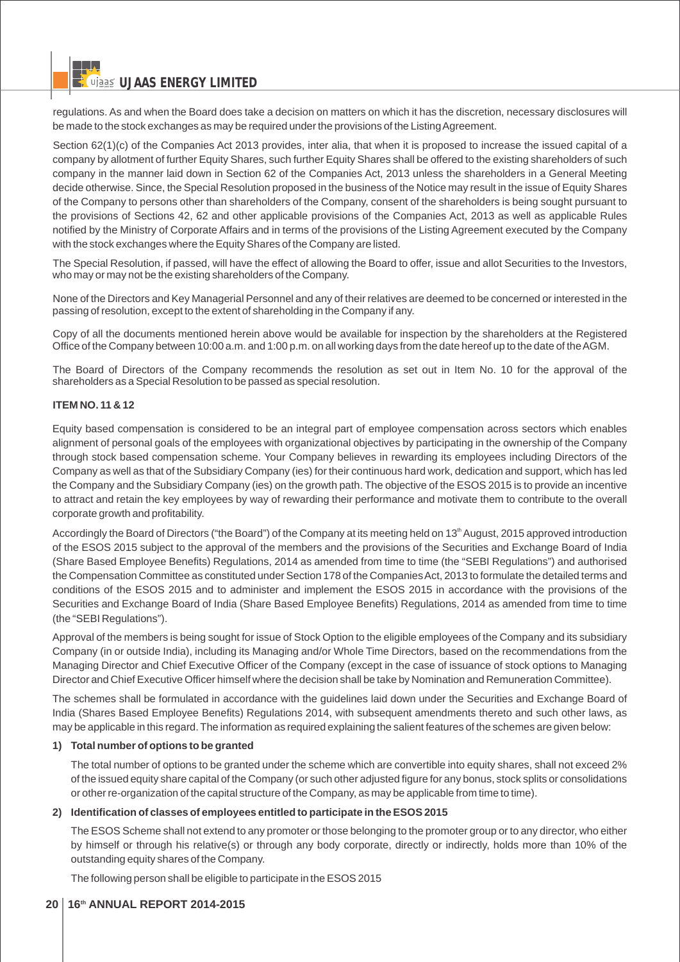regulations. As and when the Board does take a decision on matters on which it has the discretion, necessary disclosures will be made to the stock exchanges as may be required under the provisions of the Listing Agreement.

Section 62(1)(c) of the Companies Act 2013 provides, inter alia, that when it is proposed to increase the issued capital of a company by allotment of further Equity Shares, such further Equity Shares shall be offered to the existing shareholders of such company in the manner laid down in Section 62 of the Companies Act, 2013 unless the shareholders in a General Meeting decide otherwise. Since, the Special Resolution proposed in the business of the Notice may result in the issue of Equity Shares of the Company to persons other than shareholders of the Company, consent of the shareholders is being sought pursuant to the provisions of Sections 42, 62 and other applicable provisions of the Companies Act, 2013 as well as applicable Rules notified by the Ministry of Corporate Affairs and in terms of the provisions of the Listing Agreement executed by the Company with the stock exchanges where the Equity Shares of the Company are listed.

The Special Resolution, if passed, will have the effect of allowing the Board to offer, issue and allot Securities to the Investors, who may or may not be the existing shareholders of the Company.

None of the Directors and Key Managerial Personnel and any of their relatives are deemed to be concerned or interested in the passing of resolution, except to the extent of shareholding in the Company if any.

Copy of all the documents mentioned herein above would be available for inspection by the shareholders at the Registered Office of the Company between 10:00 a.m. and 1:00 p.m. on all working days from the date hereof up to the date of the AGM.

The Board of Directors of the Company recommends the resolution as set out in Item No. 10 for the approval of the shareholders as a Special Resolution to be passed as special resolution.

## **ITEM NO. 11 & 12**

Equity based compensation is considered to be an integral part of employee compensation across sectors which enables alignment of personal goals of the employees with organizational objectives by participating in the ownership of the Company through stock based compensation scheme. Your Company believes in rewarding its employees including Directors of the Company as well as that of the Subsidiary Company (ies) for their continuous hard work, dedication and support, which has led the Company and the Subsidiary Company (ies) on the growth path. The objective of the ESOS 2015 is to provide an incentive to attract and retain the key employees by way of rewarding their performance and motivate them to contribute to the overall corporate growth and profitability.

Accordingly the Board of Directors ("the Board") of the Company at its meeting held on 13<sup>th</sup> August, 2015 approved introduction of the ESOS 2015 subject to the approval of the members and the provisions of the Securities and Exchange Board of India (Share Based Employee Benefits) Regulations, 2014 as amended from time to time (the "SEBI Regulations") and authorised the Compensation Committee as constituted under Section 178 of the Companies Act, 2013 to formulate the detailed terms and conditions of the ESOS 2015 and to administer and implement the ESOS 2015 in accordance with the provisions of the Securities and Exchange Board of India (Share Based Employee Benefits) Regulations, 2014 as amended from time to time (the "SEBI Regulations").

Approval of the members is being sought for issue of Stock Option to the eligible employees of the Company and its subsidiary Company (in or outside India), including its Managing and/or Whole Time Directors, based on the recommendations from the Managing Director and Chief Executive Officer of the Company (except in the case of issuance of stock options to Managing Director and Chief Executive Officer himself where the decision shall be take by Nomination and Remuneration Committee).

The schemes shall be formulated in accordance with the guidelines laid down under the Securities and Exchange Board of India (Shares Based Employee Benefits) Regulations 2014, with subsequent amendments thereto and such other laws, as may be applicable in this regard. The information as required explaining the salient features of the schemes are given below:

## **1) Total number of options to be granted**

The total number of options to be granted under the scheme which are convertible into equity shares, shall not exceed 2% of the issued equity share capital of the Company (or such other adjusted figure for any bonus, stock splits or consolidations or other re-organization of the capital structure of the Company, as may be applicable from time to time).

#### **2) Identification of classes of employees entitled to participate in the ESOS 2015**

The ESOS Scheme shall not extend to any promoter or those belonging to the promoter group or to any director, who either by himself or through his relative(s) or through any body corporate, directly or indirectly, holds more than 10% of the outstanding equity shares of the Company.

The following person shall be eligible to participate in the ESOS 2015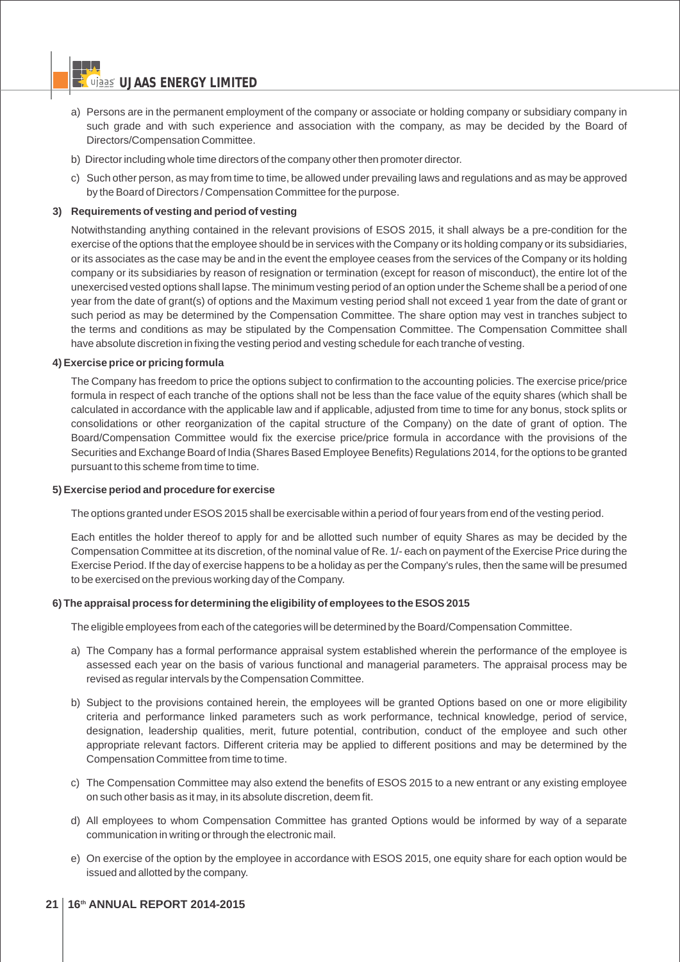- a) Persons are in the permanent employment of the company or associate or holding company or subsidiary company in such grade and with such experience and association with the company, as may be decided by the Board of Directors/Compensation Committee.
- b) Director including whole time directors of the company other then promoter director.
- c) Such other person, as may from time to time, be allowed under prevailing laws and regulations and as may be approved by the Board of Directors / Compensation Committee for the purpose.

## **3) Requirements of vesting and period of vesting**

Notwithstanding anything contained in the relevant provisions of ESOS 2015, it shall always be a pre-condition for the exercise of the options that the employee should be in services with the Company or its holding company or its subsidiaries, or its associates as the case may be and in the event the employee ceases from the services of the Company or its holding company or its subsidiaries by reason of resignation or termination (except for reason of misconduct), the entire lot of the unexercised vested options shall lapse. The minimum vesting period of an option under the Scheme shall be a period of one year from the date of grant(s) of options and the Maximum vesting period shall not exceed 1 year from the date of grant or such period as may be determined by the Compensation Committee. The share option may vest in tranches subject to the terms and conditions as may be stipulated by the Compensation Committee. The Compensation Committee shall have absolute discretion in fixing the vesting period and vesting schedule for each tranche of vesting.

## **4) Exercise price or pricing formula**

The Company has freedom to price the options subject to confirmation to the accounting policies. The exercise price/price formula in respect of each tranche of the options shall not be less than the face value of the equity shares (which shall be calculated in accordance with the applicable law and if applicable, adjusted from time to time for any bonus, stock splits or consolidations or other reorganization of the capital structure of the Company) on the date of grant of option. The Board/Compensation Committee would fix the exercise price/price formula in accordance with the provisions of the Securities and Exchange Board of India (Shares Based Employee Benefits) Regulations 2014, for the options to be granted pursuant to this scheme from time to time.

## **5) Exercise period and procedure for exercise**

The options granted under ESOS 2015 shall be exercisable within a period of four years from end of the vesting period.

Each entitles the holder thereof to apply for and be allotted such number of equity Shares as may be decided by the Compensation Committee at its discretion, of the nominal value of Re. 1/- each on payment of the Exercise Price during the Exercise Period. If the day of exercise happens to be a holiday as per the Company's rules, then the same will be presumed to be exercised on the previous working day of the Company.

## **6) The appraisal process for determining the eligibility of employees to the ESOS 2015**

The eligible employees from each of the categories will be determined by the Board/Compensation Committee.

- a) The Company has a formal performance appraisal system established wherein the performance of the employee is assessed each year on the basis of various functional and managerial parameters. The appraisal process may be revised as regular intervals by the Compensation Committee.
- b) Subject to the provisions contained herein, the employees will be granted Options based on one or more eligibility criteria and performance linked parameters such as work performance, technical knowledge, period of service, designation, leadership qualities, merit, future potential, contribution, conduct of the employee and such other appropriate relevant factors. Different criteria may be applied to different positions and may be determined by the Compensation Committee from time to time.
- c) The Compensation Committee may also extend the benefits of ESOS 2015 to a new entrant or any existing employee on such other basis as it may, in its absolute discretion, deem fit.
- d) All employees to whom Compensation Committee has granted Options would be informed by way of a separate communication in writing or through the electronic mail.
- e) On exercise of the option by the employee in accordance with ESOS 2015, one equity share for each option would be issued and allotted by the company.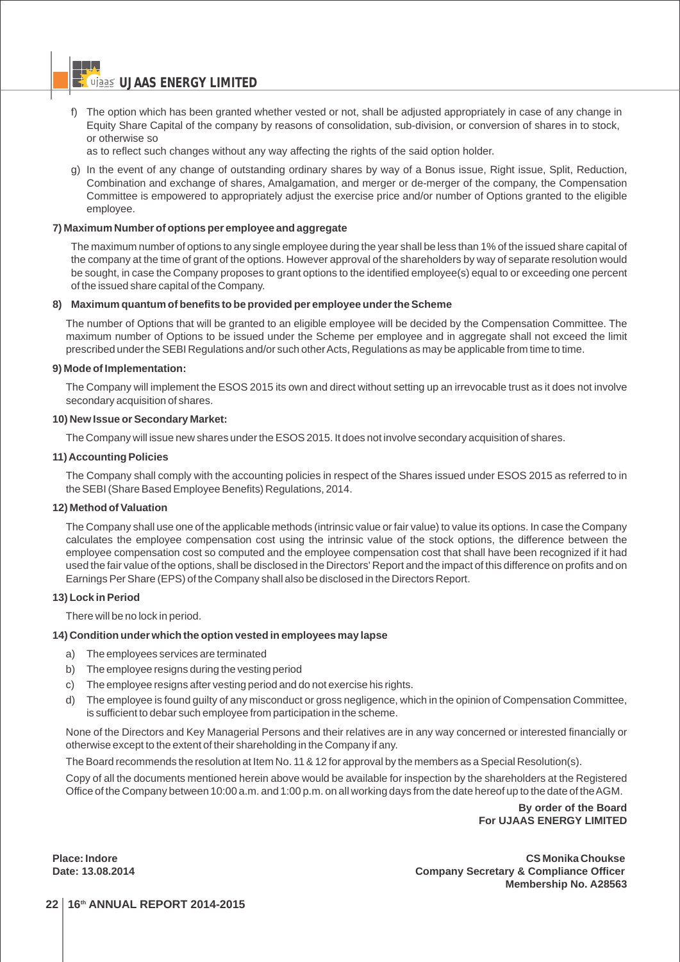f) The option which has been granted whether vested or not, shall be adjusted appropriately in case of any change in Equity Share Capital of the company by reasons of consolidation, sub-division, or conversion of shares in to stock, or otherwise so

as to reflect such changes without any way affecting the rights of the said option holder.

g) In the event of any change of outstanding ordinary shares by way of a Bonus issue, Right issue, Split, Reduction, Combination and exchange of shares, Amalgamation, and merger or de-merger of the company, the Compensation Committee is empowered to appropriately adjust the exercise price and/or number of Options granted to the eligible employee.

#### **7) Maximum Number of options per employee and aggregate**

The maximum number of options to any single employee during the year shall be less than 1% of the issued share capital of the company at the time of grant of the options. However approval of the shareholders by way of separate resolution would be sought, in case the Company proposes to grant options to the identified employee(s) equal to or exceeding one percent of the issued share capital of the Company.

#### **8) Maximum quantum of benefits to be provided per employee under the Scheme**

The number of Options that will be granted to an eligible employee will be decided by the Compensation Committee. The maximum number of Options to be issued under the Scheme per employee and in aggregate shall not exceed the limit prescribed under the SEBI Regulations and/or such other Acts, Regulations as may be applicable from time to time.

#### **9) Mode of Implementation:**

The Company will implement the ESOS 2015 its own and direct without setting up an irrevocable trust as it does not involve secondary acquisition of shares.

#### **10) New Issue or Secondary Market:**

The Company will issue new shares under the ESOS 2015. It does not involve secondary acquisition of shares.

## **11) Accounting Policies**

The Company shall comply with the accounting policies in respect of the Shares issued under ESOS 2015 as referred to in the SEBI (Share Based Employee Benefits) Regulations, 2014.

#### **12) Method of Valuation**

The Company shall use one of the applicable methods (intrinsic value or fair value) to value its options. In case the Company calculates the employee compensation cost using the intrinsic value of the stock options, the difference between the employee compensation cost so computed and the employee compensation cost that shall have been recognized if it had used the fair value of the options, shall be disclosed in the Directors' Report and the impact of this difference on profits and on Earnings Per Share (EPS) of the Company shall also be disclosed in the Directors Report.

## **13) Lock in Period**

There will be no lock in period.

## **14) Condition under which the option vested in employees may lapse**

- a) The employees services are terminated
- b) The employee resigns during the vesting period
- c) The employee resigns after vesting period and do not exercise his rights.
- d) The employee is found guilty of any misconduct or gross negligence, which in the opinion of Compensation Committee, is sufficient to debar such employee from participation in the scheme.

None of the Directors and Key Managerial Persons and their relatives are in any way concerned or interested financially or otherwise except to the extent of their shareholding in the Company if any.

The Board recommends the resolution at Item No. 11 & 12 for approval by the members as a Special Resolution(s).

Copy of all the documents mentioned herein above would be available for inspection by the shareholders at the Registered Office of the Company between 10:00 a.m. and 1:00 p.m. on all working days from the date hereof up to the date of the AGM.

> **By order of the Board For UJAAS ENERGY LIMITED**

**Place: Indore CS Monika Choukse Date: 13.08.2014 Company Secretary & Compliance Officer Membership No. A28563**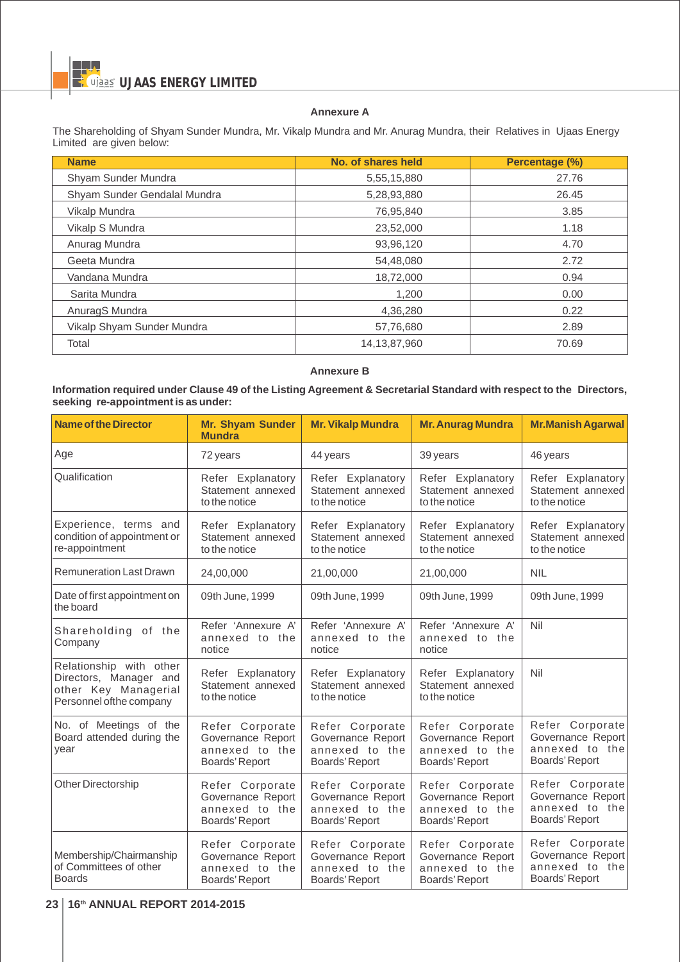## **Annexure A**

The Shareholding of Shyam Sunder Mundra, Mr. Vikalp Mundra and Mr. Anurag Mundra, their Relatives in Ujaas Energy Limited are given below:

| <b>Name</b>                  | No. of shares held | Percentage (%) |
|------------------------------|--------------------|----------------|
| Shyam Sunder Mundra          | 5,55,15,880        | 27.76          |
| Shyam Sunder Gendalal Mundra | 5,28,93,880        | 26.45          |
| Vikalp Mundra                | 76,95,840          | 3.85           |
| Vikalp S Mundra              | 23,52,000          | 1.18           |
| Anurag Mundra                | 93,96,120          | 4.70           |
| Geeta Mundra                 | 54,48,080          | 2.72           |
| Vandana Mundra               | 18,72,000          | 0.94           |
| Sarita Mundra                | 1,200              | 0.00           |
| AnuragS Mundra               | 4.36.280           | 0.22           |
| Vikalp Shyam Sunder Mundra   | 57,76,680          | 2.89           |
| Total                        | 14,13,87,960       | 70.69          |

# **Annexure B**

## **Information required under Clause 49 of the Listing Agreement & Secretarial Standard with respect to the Directors, seeking re-appointment is as under:**

| <b>Name of the Director</b>                                                                          | <b>Mr. Shyam Sunder</b><br><b>Mundra</b>                                 | <b>Mr. Vikalp Mundra</b>                                                 | <b>Mr. Anurag Mundra</b>                                                 | <b>Mr.Manish Agarwal</b>                                                 |
|------------------------------------------------------------------------------------------------------|--------------------------------------------------------------------------|--------------------------------------------------------------------------|--------------------------------------------------------------------------|--------------------------------------------------------------------------|
| Age                                                                                                  | 72 years                                                                 | 44 years                                                                 | 39 years                                                                 | 46 years                                                                 |
| Qualification                                                                                        | Refer Explanatory<br>Statement annexed<br>to the notice                  | Refer Explanatory<br>Statement annexed<br>to the notice                  | Refer Explanatory<br>Statement annexed<br>to the notice                  | Refer Explanatory<br>Statement annexed<br>to the notice                  |
| Experience, terms and<br>condition of appointment or<br>re-appointment                               | Refer Explanatory<br>Statement annexed<br>to the notice                  | Refer Explanatory<br>Statement annexed<br>to the notice                  | Refer Explanatory<br>Statement annexed<br>to the notice                  | Refer Explanatory<br>Statement annexed<br>to the notice                  |
| <b>Remuneration Last Drawn</b>                                                                       | 24,00,000                                                                | 21,00,000                                                                | 21,00,000                                                                | <b>NIL</b>                                                               |
| Date of first appointment on<br>the board                                                            | 09th June, 1999                                                          | 09th June, 1999                                                          | 09th June, 1999                                                          | 09th June, 1999                                                          |
| Shareholding of the<br>Company                                                                       | Refer 'Annexure A'<br>annexed to the<br>notice                           | Refer 'Annexure A'<br>annexed to the<br>notice                           | Refer 'Annexure A'<br>annexed to the<br>notice                           | Nil                                                                      |
| Relationship with other<br>Directors, Manager and<br>other Key Managerial<br>Personnel ofthe company | Refer Explanatory<br>Statement annexed<br>to the notice                  | Refer Explanatory<br>Statement annexed<br>to the notice                  | Refer Explanatory<br>Statement annexed<br>to the notice                  | Nil                                                                      |
| No. of Meetings of the<br>Board attended during the<br>year                                          | Refer Corporate<br>Governance Report<br>annexed to the<br>Boards' Report | Refer Corporate<br>Governance Report<br>annexed to the<br>Boards' Report | Refer Corporate<br>Governance Report<br>annexed to the<br>Boards' Report | Refer Corporate<br>Governance Report<br>annexed to the<br>Boards' Report |
| <b>Other Directorship</b>                                                                            | Refer Corporate<br>Governance Report<br>annexed to the<br>Boards' Report | Refer Corporate<br>Governance Report<br>annexed to the<br>Boards' Report | Refer Corporate<br>Governance Report<br>annexed to the<br>Boards' Report | Refer Corporate<br>Governance Report<br>annexed to the<br>Boards' Report |
| Membership/Chairmanship<br>of Committees of other<br><b>Boards</b>                                   | Refer Corporate<br>Governance Report<br>annexed to the<br>Boards' Report | Refer Corporate<br>Governance Report<br>annexed to the<br>Boards' Report | Refer Corporate<br>Governance Report<br>annexed to the<br>Boards' Report | Refer Corporate<br>Governance Report<br>annexed to the<br>Boards' Report |